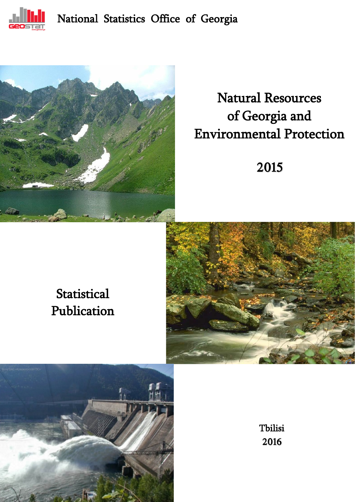

# National Statistics Office of Georgia



# Natural Resources of Georgia and Environmental Protection

2015

# **Statistical** Publication



Ξ



Tbilisi 2016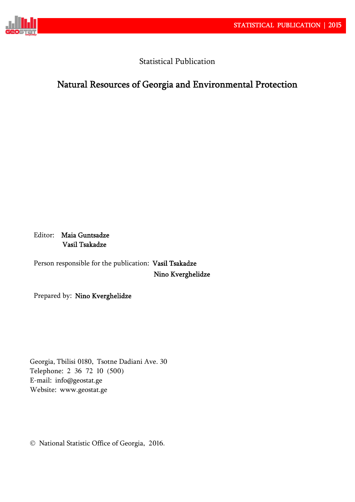

Statistical Publication

# Natural Resources of Georgia and Environmental Protection

Editor: Maia Guntsadze Vasil Tsakadze

Person responsible for the publication: Vasil Tsakadze Nino Kverghelidze

Prepared by: Nino Kverghelidze

Georgia, Tbilisi 0180, Tsotne Dadiani Ave. 30 Telephone: 2 36 72 10 (500) E-mail: info@geostat.ge Website: www.geostat.ge

National Statistic Office of Georgia, 2016.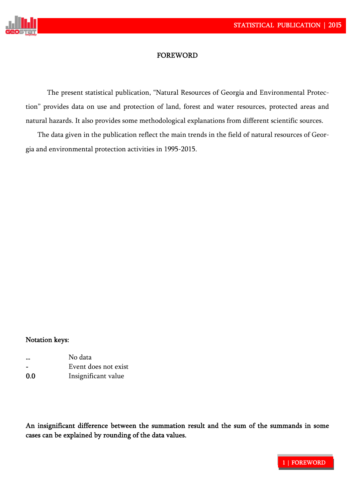

### **FOREWORD**

The present statistical publication, "Natural Resources of Georgia and Environmental Protection" provides data on use and protection of land, forest and water resources, protected areas and natural hazards. It also provides some methodological explanations from different scientific sources.

The data given in the publication reflect the main trends in the field of natural resources of Georgia and environmental protection activities in 1995-2015.

#### Notation keys:

|                          | No data              |
|--------------------------|----------------------|
| $\overline{\phantom{0}}$ | Event does not exist |
| 0.0                      | Insignificant value  |

An insignificant difference between the summation result and the sum of the summands in some cases can be explained by rounding of the data values.

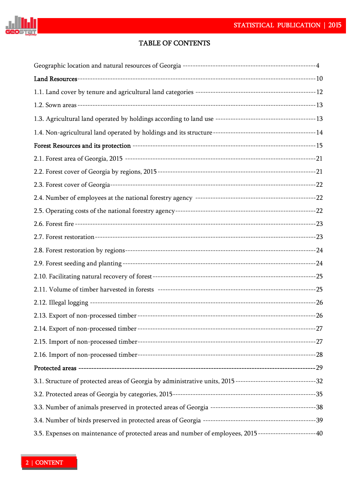

## TABLE OF CONTENTS

| 3.1. Structure of protected areas of Georgia by administrative units, 2015 ----------------------------------32 |  |
|-----------------------------------------------------------------------------------------------------------------|--|
|                                                                                                                 |  |
|                                                                                                                 |  |
|                                                                                                                 |  |
| 3.5. Expenses on maintenance of protected areas and number of employees, 2015 ----------------------40          |  |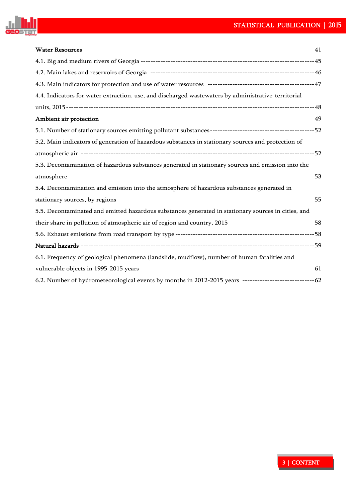

| 4.4. Indicators for water extraction, use, and discharged wastewaters by administrative-territorial |  |
|-----------------------------------------------------------------------------------------------------|--|
|                                                                                                     |  |
|                                                                                                     |  |
|                                                                                                     |  |
| 5.2. Main indicators of generation of hazardous substances in stationary sources and protection of  |  |
|                                                                                                     |  |
| 5.3. Decontamination of hazardous substances generated in stationary sources and emission into the  |  |
|                                                                                                     |  |
| 5.4. Decontamination and emission into the atmosphere of hazardous substances generated in          |  |
|                                                                                                     |  |
| 5.5. Decontaminated and emitted hazardous substances generated in stationary sources in cities, and |  |
|                                                                                                     |  |
|                                                                                                     |  |
|                                                                                                     |  |
| 6.1. Frequency of geological phenomena (landslide, mudflow), number of human fatalities and         |  |
|                                                                                                     |  |
|                                                                                                     |  |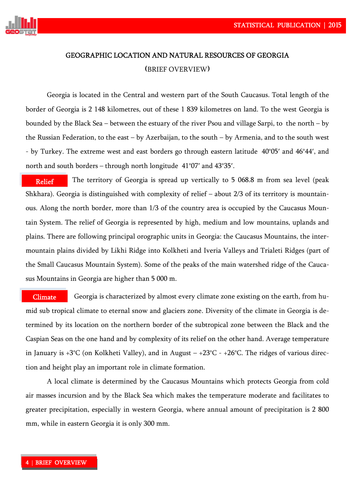

# GEOGRAPHIC LOCATION AND NATURAL RESOURCES OF GEORGIA (BRIEF OVERVIEW)

Georgia is located in the Central and western part of the South Caucasus. Total length of the border of Georgia is 2 148 kilometres, out of these 1 839 kilometres on land. To the west Georgia is bounded by the Black Sea – between the estuary of the river Psou and village Sarpi, to the north – by the Russian Federation, to the east – by Azerbaijan, to the south – by Armenia, and to the south west - by Turkey. The extreme west and east borders go through eastern latitude 40°05' and 46°44', and north and south borders – through north longitude  $41^{\circ}07'$  and  $43^{\circ}35'$ .

The territory of Georgia is spread up vertically to 5 068.8 m from sea level (peak Shkhara). Georgia is distinguished with complexity of relief – about 2/3 of its territory is mountainous. Along the north border, more than 1/3 of the country area is occupied by the Caucasus Mountain System. The relief of Georgia is represented by high, medium and low mountains, uplands and plains. There are following principal orographic units in Georgia: the Caucasus Mountains, the intermountain plains divided by Likhi Ridge into Kolkheti and Iveria Valleys and Trialeti Ridges (part of the Small Caucasus Mountain System). Some of the peaks of the main watershed ridge of the Caucasus Mountains in Georgia are higher than 5 000 m. Relief

 Georgia is characterized by almost every climate zone existing on the earth, from humid sub tropical climate to eternal snow and glaciers zone. Diversity of the climate in Georgia is determined by its location on the northern border of the subtropical zone between the Black and the Caspian Seas on the one hand and by complexity of its relief on the other hand. Average temperature in January is +3°C (on Kolkheti Valley), and in August – +23°C - +26°C. The ridges of various direction and height play an important role in climate formation. **Climate** 

A local climate is determined by the Caucasus Mountains which protects Georgia from cold air masses incursion and by the Black Sea which makes the temperature moderate and facilitates to greater precipitation, especially in western Georgia, where annual amount of precipitation is 2 800 mm, while in eastern Georgia it is only 300 mm.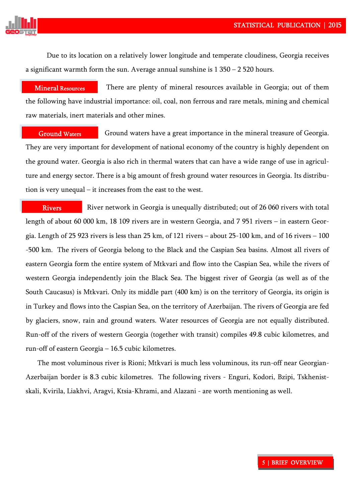

Due to its location on a relatively lower longitude and temperate cloudiness, Georgia receives a significant warmth form the sun. Average annual sunshine is  $1\,350 - 2\,520$  hours.

There are plenty of mineral resources available in Georgia; out of them the following have industrial importance: oil, coal, non ferrous and rare metals, mining and chemical raw materials, inert materials and other mines. Mineral Resources

 Ground waters have a great importance in the mineral treasure of Georgia. They are very important for development of national economy of the country is highly dependent on the ground water. Georgia is also rich in thermal waters that can have a wide range of use in agriculture and energy sector. There is a big amount of fresh ground water resources in Georgia. Its distribution is very unequal – it increases from the east to the west. Ground Waters

River network in Georgia is unequally distributed; out of 26 060 rivers with total length of about 60 000 km, 18 109 rivers are in western Georgia, and 7 951 rivers – in eastern Georgia. Length of 25 923 rivers is less than 25 km, of 121 rivers – about 25-100 km, and of 16 rivers – 100 -500 km. The rivers of Georgia belong to the Black and the Caspian Sea basins. Almost all rivers of eastern Georgia form the entire system of Mtkvari and flow into the Caspian Sea, while the rivers of western Georgia independently join the Black Sea. The biggest river of Georgia (as well as of the South Caucasus) is Mtkvari. Only its middle part (400 km) is on the territory of Georgia, its origin is in Turkey and flows into the Caspian Sea, on the territory of Azerbaijan. The rivers of Georgia are fed by glaciers, snow, rain and ground waters. Water resources of Georgia are not equally distributed. Run-off of the rivers of western Georgia (together with transit) compiles 49.8 cubic kilometres, and run-off of eastern Georgia – 16.5 cubic kilometres. Rivers

The most voluminous river is Rioni; Mtkvari is much less voluminous, its run-off near Georgian-Azerbaijan border is 8.3 cubic kilometres. The following rivers - Enguri, Kodori, Bzipi, Tskhenistskali, Kvirila, Liakhvi, Aragvi, Ktsia-Khrami, and Alazani - are worth mentioning as well.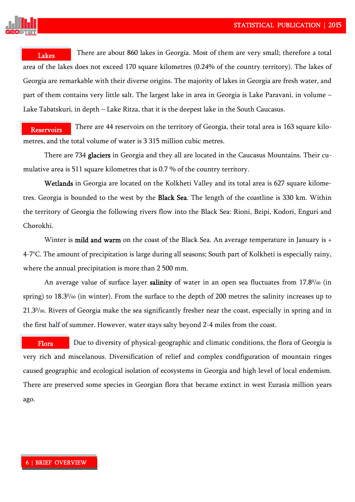

 There are about 860 lakes in Georgia. Most of them are very small; therefore a total area of the lakes does not exceed 170 square kilometres (0.24% of the country territory). The lakes of Georgia are remarkable with their diverse origins. The majority of lakes in Georgia are fresh water, and part of them contains very little salt. The largest lake in area in Georgia is Lake Paravani, in volume – Lake Tabatskuri, in depth – Lake Ritza, that it is the deepest lake in the South Caucasus. **Lakes** 

 There are 44 reservoirs on the territory of Georgia, their total area is 163 square kilometres, and the total volume of water is 3 315 million cubic metres. Reservoirs

There are 734 glaciers in Georgia and they all are located in the Caucasus Mountains. Their cumulative area is 511 square kilometres that is 0.7 % of the country territory.

Wetlands in Georgia are located on the Kolkheti Valley and its total area is 627 square kilometres. Georgia is bounded to the west by the Black Sea. The length of the coastline is 330 km. Within the territory of Georgia the following rivers flow into the Black Sea: Rioni, Bzipi, Kodori, Enguri and Chorokhi.

Winter is **mild and warm** on the coast of the Black Sea. An average temperature in January is + 4-7°C. The amount of precipitation is large during all seasons; South part of Kolkheti is especially rainy, where the annual precipitation is more than 2 500 mm.

An average value of surface layer **salinity** of water in an open sea fluctuates from  $17.8\%$  (in spring) to 18.3% (in winter). From the surface to the depth of 200 metres the salinity increases up to 21.30/00. Rivers of Georgia make the sea significantly fresher near the coast, especially in spring and in the first half of summer. However, water stays salty beyond 2-4 miles from the coast.

 Due to diversity of physical-geographic and climatic conditions, the flora of Georgia is very rich and miscelanous. Diversification of relief and complex condfiguration of mountain ringes caused geographic and ecological isolation of ecosystems in Georgia and high level of local endemism. There are preserved some species in Georgian flora that became extinct in west Eurasia million years ago. Flora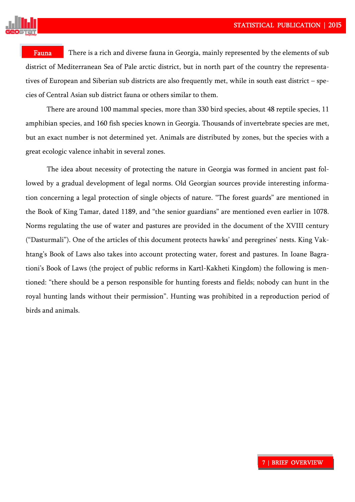

Fauna

There is a rich and diverse fauna in Georgia, mainly represented by the elements of sub district of Mediterranean Sea of Pale arctic district, but in north part of the country the representatives of European and Siberian sub districts are also frequently met, while in south east district – species of Central Asian sub district fauna or others similar to them.

There are around 100 mammal species, more than 330 bird species, about 48 reptile species, 11 amphibian species, and 160 fish species known in Georgia. Thousands of invertebrate species are met, but an exact number is not determined yet. Animals are distributed by zones, but the species with a great ecologic valence inhabit in several zones.

The idea about necessity of protecting the nature in Georgia was formed in ancient past followed by a gradual development of legal norms. Old Georgian sources provide interesting information concerning a legal protection of single objects of nature. "The forest guards" are mentioned in the Book of King Tamar, dated 1189, and "the senior guardians" are mentioned even earlier in 1078. Norms regulating the use of water and pastures are provided in the document of the XVIII century ("Dasturmali"). One of the articles of this document protects hawks' and peregrines' nests. King Vakhtang's Book of Laws also takes into account protecting water, forest and pastures. In Ioane Bagrationi's Book of Laws (the project of public reforms in Kartl-Kakheti Kingdom) the following is mentioned: "there should be a person responsible for hunting forests and fields; nobody can hunt in the royal hunting lands without their permission". Hunting was prohibited in a reproduction period of birds and animals.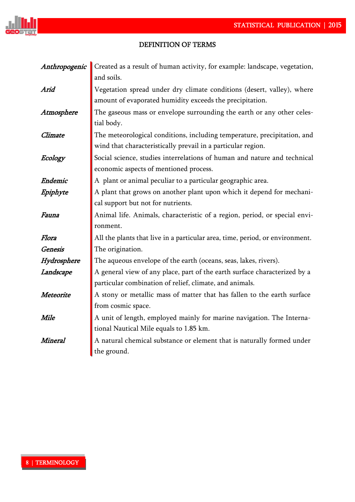

ý.

## DEFINITION OF TERMS!

| Anthropogenic  | Created as a result of human activity, for example: landscape, vegetation,   |
|----------------|------------------------------------------------------------------------------|
|                | and soils.                                                                   |
| Arid           | Vegetation spread under dry climate conditions (desert, valley), where       |
|                | amount of evaporated humidity exceeds the precipitation.                     |
| Atmosphere     | The gaseous mass or envelope surrounding the earth or any other celes-       |
|                | tial body.                                                                   |
| Climate        | The meteorological conditions, including temperature, precipitation, and     |
|                | wind that characteristically prevail in a particular region.                 |
| Ecology        | Social science, studies interrelations of human and nature and technical     |
|                | economic aspects of mentioned process.                                       |
| Endemic        | A plant or animal peculiar to a particular geographic area.                  |
| Epiphyte       | A plant that grows on another plant upon which it depend for mechani-        |
|                | cal support but not for nutrients.                                           |
| Fauna          | Animal life. Animals, characteristic of a region, period, or special envi-   |
|                | ronment.                                                                     |
| Flora          | All the plants that live in a particular area, time, period, or environment. |
| <b>Genesis</b> | The origination.                                                             |
| Hydrosphere    | The aqueous envelope of the earth (oceans, seas, lakes, rivers).             |
| Landscape      | A general view of any place, part of the earth surface characterized by a    |
|                | particular combination of relief, climate, and animals.                      |
| Meteorite      | A stony or metallic mass of matter that has fallen to the earth surface      |
|                | from cosmic space.                                                           |
| Mile           | A unit of length, employed mainly for marine navigation. The Interna-        |
|                | tional Nautical Mile equals to 1.85 km.                                      |
| Mineral        | A natural chemical substance or element that is naturally formed under       |
|                | the ground.                                                                  |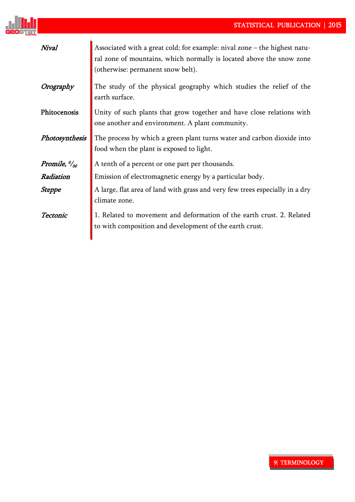

| Nival                                    | Associated with a great cold; for example: nival zone – the highest natu-<br>ral zone of mountains, which normally is located above the snow zone<br>(otherwise: permanent snow belt). |
|------------------------------------------|----------------------------------------------------------------------------------------------------------------------------------------------------------------------------------------|
| Orography                                | The study of the physical geography which studies the relief of the<br>earth surface.                                                                                                  |
| Phitocenosis                             | Unity of such plants that grow together and have close relations with<br>one another and environment. A plant community.                                                               |
| Photosynthesis                           | The process by which a green plant turns water and carbon dioxide into<br>food when the plant is exposed to light.                                                                     |
| Promile, $\frac{\partial u}{\partial n}$ | A tenth of a percent or one part per thousands.                                                                                                                                        |
| Radiation                                | Emission of electromagnetic energy by a particular body.                                                                                                                               |
| Steppe                                   | A large, flat area of land with grass and very few trees especially in a dry<br>climate zone.                                                                                          |
| Tectonic                                 | 1. Related to movement and deformation of the earth crust. 2. Related<br>to with composition and development of the earth crust.                                                       |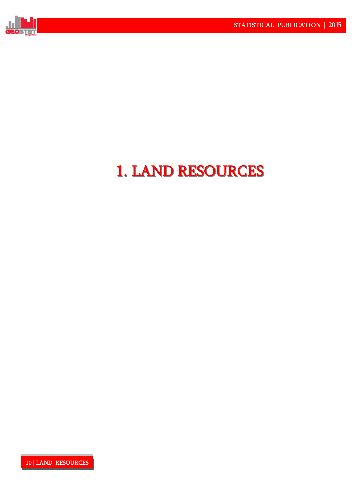

# 1. LAND RESOURCES 1. LAND RESOURCES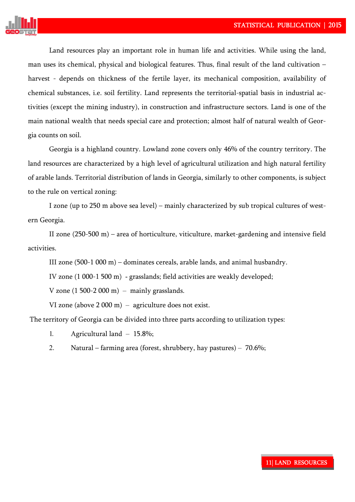

Land resources play an important role in human life and activities. While using the land, man uses its chemical, physical and biological features. Thus, final result of the land cultivation – harvest - depends on thickness of the fertile layer, its mechanical composition, availability of chemical substances, i.e. soil fertility. Land represents the territorial-spatial basis in industrial activities (except the mining industry), in construction and infrastructure sectors. Land is one of the main national wealth that needs special care and protection; almost half of natural wealth of Georgia counts on soil.

Georgia is a highland country. Lowland zone covers only 46% of the country territory. The land resources are characterized by a high level of agricultural utilization and high natural fertility of arable lands. Territorial distribution of lands in Georgia, similarly to other components, is subject to the rule on vertical zoning:

I zone (up to 250 m above sea level) – mainly characterized by sub tropical cultures of western Georgia.

II zone (250-500 m) – area of horticulture, viticulture, market-gardening and intensive field activities.

III zone (500-1 000 m) – dominates cereals, arable lands, and animal husbandry.

IV zone (1 000-1 500 m) - grasslands; field activities are weakly developed;

V zone  $(1\,500-2\,000\,\mathrm{m})$  – mainly grasslands.

VI zone (above 2 000 m) – agriculture does not exist.

The territory of Georgia can be divided into three parts according to utilization types:

- 1. Agricultural land 15.8%;
- 2. Natural farming area (forest, shrubbery, hay pastures) 70.6%;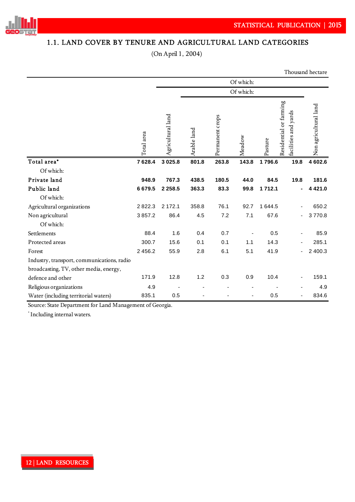

## 1.1. LAND COVER BY TENURE AND AGRICULTURAL LAND CATEGORIES

(On April 1, 2004)

Thousand hectare

|                                            | Of which:  |                   |             |                 |        |         |                                                |                       |
|--------------------------------------------|------------|-------------------|-------------|-----------------|--------|---------|------------------------------------------------|-----------------------|
|                                            |            | Of which:         |             |                 |        |         |                                                |                       |
|                                            | Total area | Agricultural land | Arable land | Permanent crops | Meadow | Pasture | Residential or farming<br>facilities and yards | Non agricultural land |
| Total area*                                | 7628.4     | 3 0 2 5 .8        | 801.8       | 263.8           | 143.8  | 1796.6  | 19.8                                           | 4 602.6               |
| Of which:                                  |            |                   |             |                 |        |         |                                                |                       |
| Private land                               | 948.9      | 767.3             | 438.5       | 180.5           | 44.0   | 84.5    | 19.8                                           | 181.6                 |
| Public land                                | 6679.5     | 2 2 5 8 . 5       | 363.3       | 83.3            | 99.8   | 1712.1  |                                                | 4 4 2 1 .0            |
| Of which:                                  |            |                   |             |                 |        |         |                                                |                       |
| Agricultural organizations                 | 2822.3     | 2 172.1           | 358.8       | 76.1            | 92.7   | 1 644.5 |                                                | 650.2                 |
| Non agricultural                           | 3857.2     | 86.4              | 4.5         | 7.2             | 7.1    | 67.6    |                                                | 3770.8                |
| Of which:                                  |            |                   |             |                 |        |         |                                                |                       |
| Settlements                                | 88.4       | 1.6               | 0.4         | 0.7             |        | 0.5     |                                                | 85.9                  |
| Protected areas                            | 300.7      | 15.6              | 0.1         | 0.1             | 1.1    | 14.3    |                                                | 285.1                 |
| Forest                                     | 2 4 5 6.2  | 55.9              | 2.8         | 6.1             | 5.1    | 41.9    | $\blacksquare$                                 | 2 400.3               |
| Industry, transport, communications, radio |            |                   |             |                 |        |         |                                                |                       |
| broadcasting, TV, other media, energy,     |            |                   |             |                 |        |         |                                                |                       |
| defence and other                          | 171.9      | 12.8              | 1.2         | 0.3             | 0.9    | 10.4    | ٠                                              | 159.1                 |
| Religious organizations                    | 4.9        |                   |             |                 |        |         |                                                | 4.9                   |
| Water (including territorial waters)       | 835.1      | 0.5               |             |                 |        | 0.5     |                                                | 834.6                 |

Source: State Department for Land Management of Georgia.

\* Including internal waters.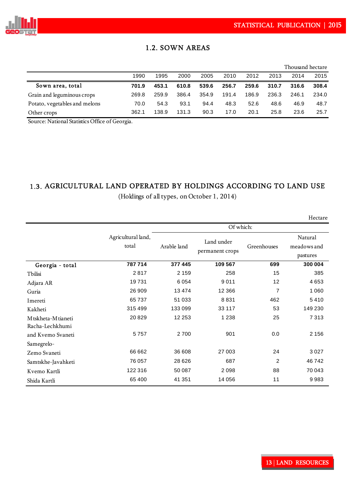

## 1.2. SOWN AREAS

|                               |       |       |       |       |       |       |       | Thousand hectare |       |
|-------------------------------|-------|-------|-------|-------|-------|-------|-------|------------------|-------|
|                               | 1990  | 1995  | 2000  | 2005  | 2010  | 2012  | 2013  | 2014             | 2015  |
| Sown area, total              | 701.9 | 453.1 | 610.8 | 539.6 | 256.7 | 259.6 | 310.7 | 316.6            | 308.4 |
| Grain and leguminous crops    | 269.8 | 259.9 | 386.4 | 354.9 | 191.4 | 186.9 | 236.3 | 246.1            | 234.0 |
| Potato, vegetables and melons | 70.0  | 54.3  | 93.1  | 94.4  | 48.3  | 52.6  | 48.6  | 46.9             | 48.7  |
| Other crops                   | 362.1 | 138.9 | 131.3 | 90.3  | 17.0  | 20.1  | 25.8  | 23.6             | 25.7  |

Source: National Statistics Office of Georgia.

### 1.3. AGRICULTURAL LAND OPERATED BY HOLDINGS ACCORDING TO LAND USE

(Holdings of all types, on October 1, 2014)

Hectare

|                                        |                             | Of which:   |                               |                |                                    |  |  |  |
|----------------------------------------|-----------------------------|-------------|-------------------------------|----------------|------------------------------------|--|--|--|
|                                        | Agricultural land,<br>total | Arable land | Land under<br>permanent crops | Greenhouses    | Natural<br>meadows and<br>pastures |  |  |  |
| Georgia - total                        | 787714                      | 377 445     | 109 567                       | 699            | 300 004                            |  |  |  |
| Tbilisi                                | 2817                        | 2 1 5 9     | 258                           | 15             | 385                                |  |  |  |
| Adjara AR                              | 19731                       | 6054        | 9011                          | 12             | 4653                               |  |  |  |
| Guria                                  | 26 909                      | 13474       | 12 3 6 6                      | $\overline{7}$ | 1 0 6 0                            |  |  |  |
| Imereti                                | 65737                       | 51 033      | 8831                          | 462            | 5410                               |  |  |  |
| Kakheti                                | 315 499                     | 133 099     | 33 117                        | 53             | 149 230                            |  |  |  |
| M tskheta-M tianeti<br>Racha-Lechkhumi | 20829                       | 12 253      | 1 2 3 8                       | 25             | 7313                               |  |  |  |
| and Kvemo Svaneti                      | 5757                        | 2700        | 901                           | 0.0            | 2 1 5 6                            |  |  |  |
| Samegrelo-                             |                             |             |                               |                |                                    |  |  |  |
| Zemo Svaneti                           | 66 662                      | 36 608      | 27 003                        | 24             | 3027                               |  |  |  |
| Samtskhe-Javahketi                     | 76 057                      | 28 6 26     | 687                           | $\overline{c}$ | 46742                              |  |  |  |
| Kvemo Kartli                           | 122 316                     | 50 087      | 2 0 9 8                       | 88             | 70 043                             |  |  |  |
| Shida Kartli                           | 65 400                      | 41 351      | 14 056                        | 11             | 9983                               |  |  |  |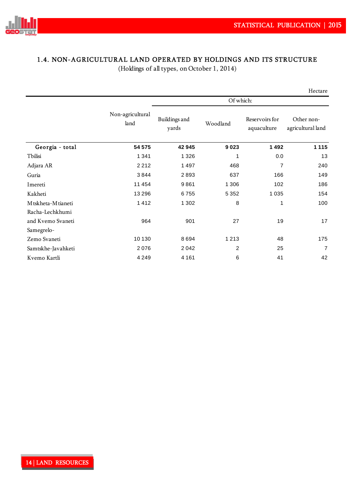

## 1.4. NON-AGRICULTURAL LAND OPERATED BY HOLDINGS AND ITS STRUCTURE

(Holdings of all types, on October 1, 2014)

|                    |                          |                        |                |                               | Hectare                         |  |  |
|--------------------|--------------------------|------------------------|----------------|-------------------------------|---------------------------------|--|--|
|                    |                          | Of which:              |                |                               |                                 |  |  |
|                    | Non-agricultural<br>land | Buildings and<br>yards | Woodland       | Reservoirs for<br>aquaculture | Other non-<br>agricultural land |  |  |
| Georgia - total    | 54 575                   | 42 945                 | 9023           | 1492                          | 1 1 1 5                         |  |  |
| Tbilisi            | 1 3 4 1                  | 1 3 2 6                | 1              | 0.0                           | 13                              |  |  |
| Adjara AR          | 2212                     | 1497                   | 468            | 7                             | 240                             |  |  |
| Guria              | 3844                     | 2893                   | 637            | 166                           | 149                             |  |  |
| Imereti            | 11 4 5 4                 | 9861                   | 1 3 0 6        | 102                           | 186                             |  |  |
| Kakheti            | 13 2 9 6                 | 6755                   | 5 3 5 2        | 1 0 3 5                       | 154                             |  |  |
| Mtskheta-Mtianeti  | 1412                     | 1 3 0 2                | 8              | 1                             | 100                             |  |  |
| Racha-Lechkhumi    |                          |                        |                |                               |                                 |  |  |
| and Kvemo Svaneti  | 964                      | 901                    | 27             | 19                            | 17                              |  |  |
| Samegrelo-         |                          |                        |                |                               |                                 |  |  |
| Zemo Svaneti       | 10 130                   | 8694                   | 1 2 1 3        | 48                            | 175                             |  |  |
| Samtskhe-Javahketi | 2076                     | 2042                   | $\overline{2}$ | 25                            | $\overline{7}$                  |  |  |
| Kvemo Kartli       | 4 2 4 9                  | 4 1 6 1                | 6              | 41                            | 42                              |  |  |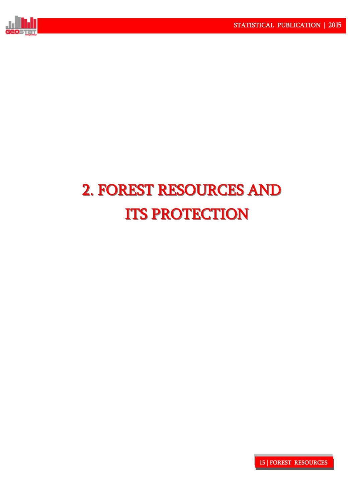

# 2. FOREST RESOURCES AND 2. FOREST RESOURCES AND **ITS PROTECTION**

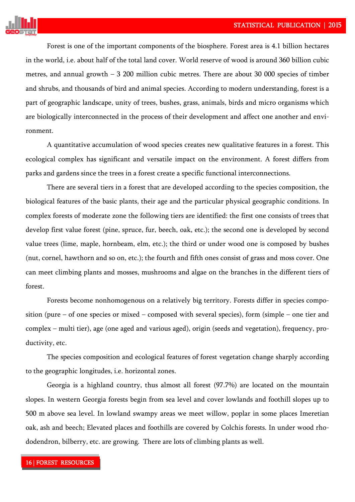

Forest is one of the important components of the biosphere. Forest area is 4.1 billion hectares in the world, i.e. about half of the total land cover. World reserve of wood is around 360 billion cubic metres, and annual growth – 3 200 million cubic metres. There are about 30 000 species of timber and shrubs, and thousands of bird and animal species. According to modern understanding, forest is a part of geographic landscape, unity of trees, bushes, grass, animals, birds and micro organisms which are biologically interconnected in the process of their development and affect one another and environment.

A quantitative accumulation of wood species creates new qualitative features in a forest. This ecological complex has significant and versatile impact on the environment. A forest differs from parks and gardens since the trees in a forest create a specific functional interconnections.

There are several tiers in a forest that are developed according to the species composition, the biological features of the basic plants, their age and the particular physical geographic conditions. In complex forests of moderate zone the following tiers are identified: the first one consists of trees that develop first value forest (pine, spruce, fur, beech, oak, etc.); the second one is developed by second value trees (lime, maple, hornbeam, elm, etc.); the third or under wood one is composed by bushes (nut, cornel, hawthorn and so on, etc.); the fourth and fifth ones consist of grass and moss cover. One can meet climbing plants and mosses, mushrooms and algae on the branches in the different tiers of forest.

Forests become nonhomogenous on a relatively big territory. Forests differ in species composition (pure – of one species or mixed – composed with several species), form (simple – one tier and complex – multi tier), age (one aged and various aged), origin (seeds and vegetation), frequency, productivity, etc.

The species composition and ecological features of forest vegetation change sharply according to the geographic longitudes, i.e. horizontal zones.

Georgia is a highland country, thus almost all forest (97.7%) are located on the mountain slopes. In western Georgia forests begin from sea level and cover lowlands and foothill slopes up to 500 m above sea level. In lowland swampy areas we meet willow, poplar in some places Imeretian oak, ash and beech; Elevated places and foothills are covered by Colchis forests. In under wood rhododendron, bilberry, etc. are growing. There are lots of climbing plants as well.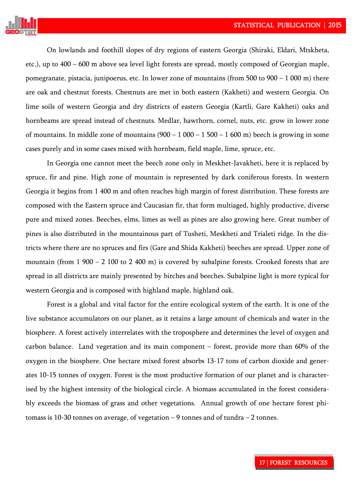

On lowlands and foothill slopes of dry regions of eastern Georgia (Shiraki, Eldari, Mtskheta, etc.), up to 400 – 600 m above sea level light forests are spread, mostly composed of Georgian maple, pomegranate, pistacia, junipoerus, etc. In lower zone of mountains (from 500 to  $900 - 1000$  m) there are oak and chestnut forests. Chestnuts are met in both eastern (Kakheti) and western Georgia. On lime soils of western Georgia and dry districts of eastern Georgia (Kartli, Gare Kakheti) oaks and hornbeams are spread instead of chestnuts. Medlar, hawthorn, cornel, nuts, etc. grow in lower zone of mountains. In middle zone of mountains  $(900 - 1000 - 1500 - 1600$  m) beech is growing in some cases purely and in some cases mixed with hornbeam, field maple, lime, spruce, etc.

In Georgia one cannot meet the beech zone only in Meskhet-Javakheti, here it is replaced by spruce, fir and pine. High zone of mountain is represented by dark coniferous forests. In western Georgia it begins from 1 400 m and often reaches high margin of forest distribution. These forests are composed with the Eastern spruce and Caucasian fir, that form multiaged, highly productive, diverse pure and mixed zones. Beeches, elms, limes as well as pines are also growing here. Great number of pines is also distributed in the mountainous part of Tusheti, Meskheti and Trialeti ridge. In the districts where there are no spruces and firs (Gare and Shida Kakheti) beeches are spread. Upper zone of mountain (from 1 900 – 2 100 to 2 400 m) is covered by subalpine forests. Crooked forests that are spread in all districts are mainly presented by birches and beeches. Subalpine light is more typical for western Georgia and is composed with highland maple, highland oak.

Forest is a global and vital factor for the entire ecological system of the earth. It is one of the live substance accumulators on our planet, as it retains a large amount of chemicals and water in the biosphere. A forest actively interrelates with the troposphere and determines the level of oxygen and carbon balance. Land vegetation and its main component – forest, provide more than 60% of the oxygen in the biosphere. One hectare mixed forest absorbs 13-17 tons of carbon dioxide and generates 10-15 tonnes of oxygen. Forest is the most productive formation of our planet and is characterised by the highest intensity of the biological circle. A biomass accumulated in the forest considerably exceeds the biomass of grass and other vegetations. Annual growth of one hectare forest phitomass is 10-30 tonnes on average, of vegetation  $-9$  tonnes and of tundra  $-2$  tonnes.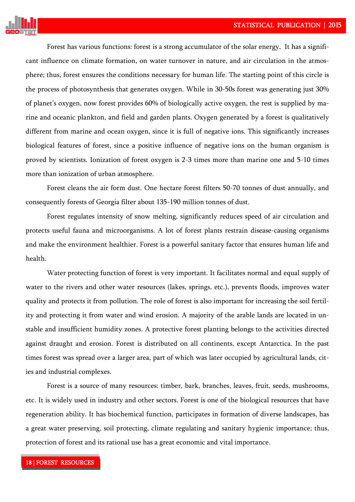

Forest has various functions: forest is a strong accumulator of the solar energy. It has a significant influence on climate formation, on water turnover in nature, and air circulation in the atmosphere; thus, forest ensures the conditions necessary for human life. The starting point of this circle is the process of photosynthesis that generates oxygen. While in 30-50s forest was generating just 30% of planet's oxygen, now forest provides 60% of biologically active oxygen, the rest is supplied by marine and oceanic plankton, and field and garden plants. Oxygen generated by a forest is qualitatively different from marine and ocean oxygen, since it is full of negative ions. This significantly increases biological features of forest, since a positive influence of negative ions on the human organism is proved by scientists. Ionization of forest oxygen is 2-3 times more than marine one and 5-10 times more than ionization of urban atmosphere.

Forest cleans the air form dust. One hectare forest filters 50-70 tonnes of dust annually, and consequently forests of Georgia filter about 135-190 million tonnes of dust.

Forest regulates intensity of snow melting, significantly reduces speed of air circulation and protects useful fauna and microorganisms. A lot of forest plants restrain disease-causing organisms and make the environment healthier. Forest is a powerful sanitary factor that ensures human life and health.

Water protecting function of forest is very important. It facilitates normal and equal supply of water to the rivers and other water resources (lakes, springs, etc.), prevents floods, improves water quality and protects it from pollution. The role of forest is also important for increasing the soil fertility and protecting it from water and wind erosion. A majority of the arable lands are located in unstable and insufficient humidity zones. A protective forest planting belongs to the activities directed against draught and erosion. Forest is distributed on all continents, except Antarctica. In the past times forest was spread over a larger area, part of which was later occupied by agricultural lands, cities and industrial complexes.

Forest is a source of many resources: timber, bark, branches, leaves, fruit, seeds, mushrooms, etc. It is widely used in industry and other sectors. Forest is one of the biological resources that have regeneration ability. It has biochemical function, participates in formation of diverse landscapes, has a great water preserving, soil protecting, climate regulating and sanitary hygienic importance; thus, protection of forest and its rational use has a great economic and vital importance.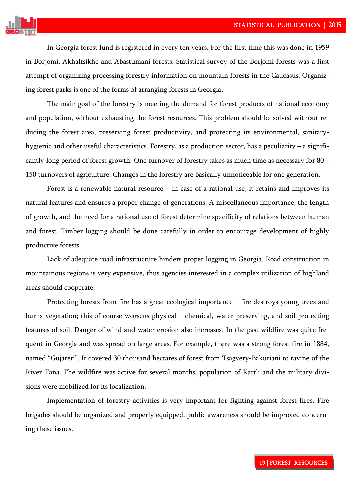

In Georgia forest fund is registered in every ten years. For the first time this was done in 1959 in Borjomi, Akhaltsikhe and Abastumani forests. Statistical survey of the Borjomi forests was a first attempt of organizing processing forestry information on mountain forests in the Caucasus. Organizing forest parks is one of the forms of arranging forests in Georgia.

The main goal of the forestry is meeting the demand for forest products of national economy and population, without exhausting the forest resources. This problem should be solved without reducing the forest area, preserving forest productivity, and protecting its environmental, sanitaryhygienic and other useful characteristics. Forestry, as a production sector, has a peculiarity – a significantly long period of forest growth. One turnover of forestry takes as much time as necessary for 80 – 150 turnovers of agriculture. Changes in the forestry are basically unnoticeable for one generation.

Forest is a renewable natural resource  $-$  in case of a rational use, it retains and improves its natural features and ensures a proper change of generations. A miscellaneous importance, the length of growth, and the need for a rational use of forest determine specificity of relations between human and forest. Timber logging should be done carefully in order to encourage development of highly productive forests.

Lack of adequate road infrastructure hinders proper logging in Georgia. Road construction in mountainous regions is very expensive, thus agencies interested in a complex utilization of highland areas should cooperate.

Protecting forests from fire has a great ecological importance – fire destroys young trees and burns vegetation; this of course worsens physical – chemical, water preserving, and soil protecting features of soil. Danger of wind and water erosion also increases. In the past wildfire was quite frequent in Georgia and was spread on large areas. For example, there was a strong forest fire in 1884, named "Gujareti". It covered 30 thousand hectares of forest from Tsagvery-Bakuriani to ravine of the River Tana. The wildfire was active for several months, population of Kartli and the military divisions were mobilized for its localization.

Implementation of forestry activities is very important for fighting against forest fires. Fire brigades should be organized and properly equipped, public awareness should be improved concerning these issues.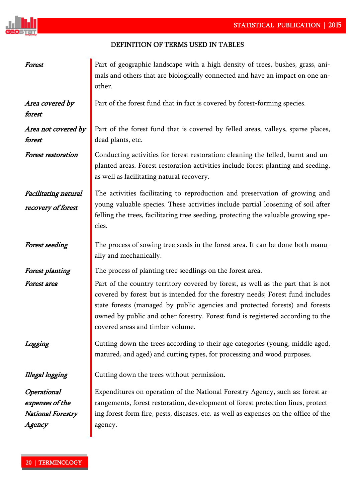

## DEFINITION OF TERMS USED IN TABLES!

| Forest                                                                      | Part of geographic landscape with a high density of trees, bushes, grass, ani-<br>mals and others that are biologically connected and have an impact on one an-<br>other.                                                                                                                                                                                                |
|-----------------------------------------------------------------------------|--------------------------------------------------------------------------------------------------------------------------------------------------------------------------------------------------------------------------------------------------------------------------------------------------------------------------------------------------------------------------|
| Area covered by<br>forest                                                   | Part of the forest fund that in fact is covered by forest-forming species.                                                                                                                                                                                                                                                                                               |
| Area not covered by<br>forest                                               | Part of the forest fund that is covered by felled areas, valleys, sparse places,<br>dead plants, etc.                                                                                                                                                                                                                                                                    |
| <b>Forest restoration</b>                                                   | Conducting activities for forest restoration: cleaning the felled, burnt and un-<br>planted areas. Forest restoration activities include forest planting and seeding,<br>as well as facilitating natural recovery.                                                                                                                                                       |
| Facilitating natural<br>recovery of forest                                  | The activities facilitating to reproduction and preservation of growing and<br>young valuable species. These activities include partial loosening of soil after<br>felling the trees, facilitating tree seeding, protecting the valuable growing spe-<br>cies.                                                                                                           |
| <b>Forest seeding</b>                                                       | The process of sowing tree seeds in the forest area. It can be done both manu-<br>ally and mechanically.                                                                                                                                                                                                                                                                 |
| <b>Forest planting</b>                                                      | The process of planting tree seedlings on the forest area.                                                                                                                                                                                                                                                                                                               |
| <b>Forest area</b>                                                          | Part of the country territory covered by forest, as well as the part that is not<br>covered by forest but is intended for the forestry needs; Forest fund includes<br>state forests (managed by public agencies and protected forests) and forests<br>owned by public and other forestry. Forest fund is registered according to the<br>covered areas and timber volume. |
| Logging                                                                     | Cutting down the trees according to their age categories (young, middle aged,<br>matured, and aged) and cutting types, for processing and wood purposes.                                                                                                                                                                                                                 |
| Illegal logging                                                             | Cutting down the trees without permission.                                                                                                                                                                                                                                                                                                                               |
| Operational<br>expenses of the<br><b>National Forestry</b><br><i>Agency</i> | Expenditures on operation of the National Forestry Agency, such as: forest ar-<br>rangements, forest restoration, development of forest protection lines, protect-<br>ing forest form fire, pests, diseases, etc. as well as expenses on the office of the<br>agency.                                                                                                    |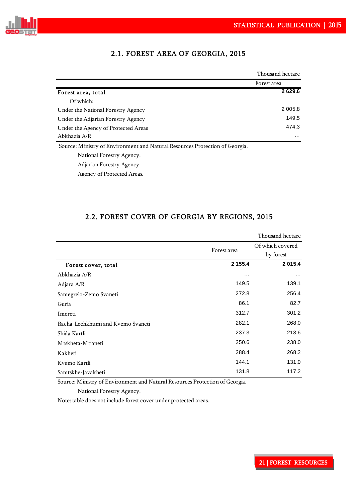

|                                                                              | Thousand hectare |
|------------------------------------------------------------------------------|------------------|
|                                                                              | Forest area      |
| Forest area, total                                                           | 2629.6           |
| Of which:                                                                    |                  |
| Under the National Forestry Agency                                           | 2 0 0 5 .8       |
| Under the Adjarian Forestry Agency                                           | 149.5            |
| Under the Agency of Protected Areas                                          | 474.3            |
| Abkhazia A/R                                                                 | $\cdots$         |
| Source: Ministry of Environment and Natural Resources Protection of Georgia. |                  |
| National Forestry Agency.                                                    |                  |

## 2.1. FOREST AREA OF GEORGIA, 2015

Adjarian Forestry Agency.

Agency of Protected Areas.

### 2.2. FOREST COVER OF GEORGIA BY REGIONS, 2015

|                                   |             | Thousand hectare |
|-----------------------------------|-------------|------------------|
|                                   | Forest area | Of which covered |
|                                   |             | by forest        |
| Forest cover, total               | 2 1 5 5.4   | 2015.4           |
| Abkhazia A/R                      | $\cdots$    | $\cdots$         |
| Adjara A/R                        | 149.5       | 139.1            |
| Samegrelo-Zemo Svaneti            | 272.8       | 256.4            |
| Guria                             | 86.1        | 82.7             |
| Imereti                           | 312.7       | 301.2            |
| Racha-Lechkhumi and Kvemo Svaneti | 282.1       | 268.0            |
| Shida Kartli                      | 237.3       | 213.6            |
| M tskheta-M tianeti               | 250.6       | 238.0            |
| Kakheti                           | 288.4       | 268.2            |
| Kvemo Kartli                      | 144.1       | 131.0            |
| Samtskhe-Javakheti                | 131.8       | 117.2            |

Source: Ministry of Environment and Natural Resources Protection of Georgia.

National Forestry Agency.

Note: table does not include forest cover under protected areas.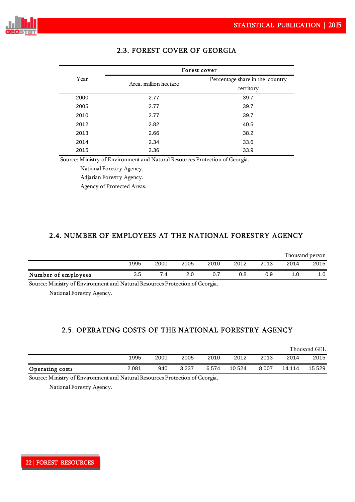

|      | Forest cover          |                                 |  |  |  |  |  |  |
|------|-----------------------|---------------------------------|--|--|--|--|--|--|
| Year | Area, million hectare | Percentage share in the country |  |  |  |  |  |  |
|      |                       | territory                       |  |  |  |  |  |  |
| 2000 | 2.77                  | 39.7                            |  |  |  |  |  |  |
| 2005 | 2.77                  | 39.7                            |  |  |  |  |  |  |
| 2010 | 2.77                  | 39.7                            |  |  |  |  |  |  |
| 2012 | 2.82                  | 40.5                            |  |  |  |  |  |  |
| 2013 | 2.66                  | 38.2                            |  |  |  |  |  |  |
| 2014 | 2.34                  | 33.6                            |  |  |  |  |  |  |
| 2015 | 2.36                  | 33.9                            |  |  |  |  |  |  |

## 2.3. FOREST COVER OF GEORGIA

Source: Ministry of Environment and Natural Resources Protection of Georgia.

National Forestry Agency.

Adjarian Forestry Agency.

Agency of Protected Areas.

### 2.4. NUMBER OF EMPLOYEES AT THE NATIONAL FORESTRY AGENCY

|                     |      |      |      |      |      |      |      | Thousand person |
|---------------------|------|------|------|------|------|------|------|-----------------|
|                     | 1995 | 2000 | 2005 | 2010 | 2012 | 2013 | 2014 | 2015            |
| Number of employees | 3.5  | ۰.4  | 2.0  | 0.7  | 0.8  | 0.9  | . .0 | 1.0             |

Source: Ministry of Environment and Natural Resources Protection of Georgia.

National Forestry Agency.

## 2.5. OPERATING COSTS OF THE NATIONAL FORESTRY AGENCY

|                        |      |      |         |      |         |       |        | Thousand GEL |
|------------------------|------|------|---------|------|---------|-------|--------|--------------|
|                        | 1995 | 2000 | 2005    | 2010 | 2012    | 2013  | 2014   | 2015         |
| <b>Operating costs</b> | 2081 | 940  | 3 2 3 7 | 6574 | 10 5 24 | 8 007 | 14 114 | 15 5 29      |

Source: Ministry of Environment and Natural Resources Protection of Georgia.

National Forestry Agency.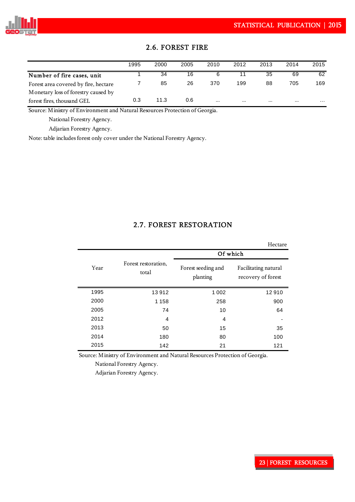

|                                      | 1995 | 2000 | 2005 | 2010     | 2012 | 2013 | 2014     | 2015 |
|--------------------------------------|------|------|------|----------|------|------|----------|------|
| Number of fire cases, unit           |      | 34   | 16   | 6        |      | 35   | 69       | 62   |
| Forest area covered by fire, hectare |      | 85   | 26   | 370      | 199  | 88   | 705      | 169  |
| Monetary loss of forestry caused by  |      |      |      |          |      |      |          |      |
| forest fires, thousand GEL           | 0.3  | 11.3 | 0.6  | $\cdots$ |      |      | $\cdots$ | .    |

### 2.6. FOREST FIRE

Source: Ministry of Environment and Natural Resources Protection of Georgia.

National Forestry Agency.

Adjarian Forestry Agency.

Note: table includes forest only cover under the National Forestry Agency.

#### 2.7. FOREST RESTORATION

|      |                              |                                | Hectare                                    |
|------|------------------------------|--------------------------------|--------------------------------------------|
|      |                              | Of which                       |                                            |
| Year | Forest restoration,<br>total | Forest seeding and<br>planting | Facilitating natural<br>recovery of forest |
| 1995 | 13912                        | 1 0 0 2                        | 12910                                      |
| 2000 | 1 1 5 8                      | 258                            | 900                                        |
| 2005 | 74                           | 10                             | 64                                         |
| 2012 | 4                            | 4                              |                                            |
| 2013 | 50                           | 15                             | 35                                         |
| 2014 | 180                          | 80                             | 100                                        |
| 2015 | 142                          | 21                             | 121                                        |

Source: Ministry of Environment and Natural Resources Protection of Georgia.

National Forestry Agency.

Adjarian Forestry Agency.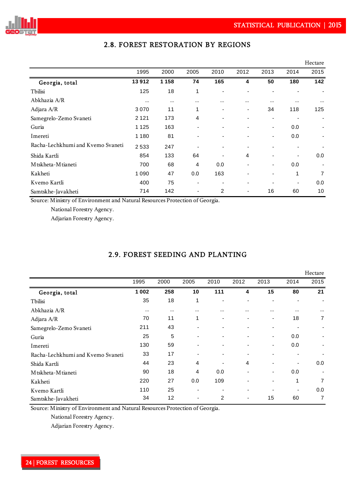

|                                   |          |         |      |          |                |                          |          | Hectare        |
|-----------------------------------|----------|---------|------|----------|----------------|--------------------------|----------|----------------|
|                                   | 1995     | 2000    | 2005 | 2010     | 2012           | 2013                     | 2014     | 2015           |
| Georgia, total                    | 13912    | 1 1 5 8 | 74   | 165      | 4              | 50                       | 180      | 142            |
| Tbilisi                           | 125      | 18      | 1    |          | ٠              | $\blacksquare$           |          |                |
| Abkhazia A/R                      | $\cdots$ |         |      | $\cdots$ | $\cdots$       | $\cdots$                 | $\cdots$ | $\cdots$       |
| Adjara A/R                        | 3070     | 11      | 1    | ۰        | $\blacksquare$ | 34                       | 118      | 125            |
| Samegrelo-Zemo Svaneti            | 2 1 2 1  | 173     | 4    |          |                | $\overline{\phantom{0}}$ |          |                |
| Guria                             | 1 1 2 5  | 163     | -    | ۰        | $\blacksquare$ | $\overline{\phantom{a}}$ | 0.0      |                |
| Imereti                           | 1 1 8 0  | 81      |      |          |                | ٠                        | 0.0      |                |
| Racha-Lechkhumi and Kvemo Svaneti | 2533     | 247     |      |          |                | $\blacksquare$           | ٠        |                |
| Shida Kartli                      | 854      | 133     | 64   |          | 4              | $\overline{\phantom{a}}$ |          | 0.0            |
| M tskheta-M tianeti               | 700      | 68      | 4    | 0.0      |                | $\overline{\phantom{a}}$ | 0.0      |                |
| Kakheti                           | 1090     | 47      | 0.0  | 163      |                | $\overline{\phantom{0}}$ | 1        | $\overline{7}$ |
| Kvemo Kartli                      | 400      | 75      | -    |          |                |                          |          | 0.0            |
| Samtskhe-Javakheti                | 714      | 142     | -    | 2        |                | 16                       | 60       | 10             |

## 2.8. FOREST RESTORATION BY REGIONS

Source: Ministry of Environment and Natural Resources Protection of Georgia.

National Forestry Agency.

Adjarian Forestry Agency.

## 2.9. FOREST SEEDING AND PLANTING

|                                   |         |          |                |          |      |                          |          | Hectare        |
|-----------------------------------|---------|----------|----------------|----------|------|--------------------------|----------|----------------|
|                                   | 1995    | 2000     | 2005           | 2010     | 2012 | 2013                     | 2014     | 2015           |
| Georgia, total                    | 1 0 0 2 | 258      | 10             | 111      | 4    | 15                       | 80       | 21             |
| Tbilisi                           | 35      | 18       | 1              |          |      | -                        |          |                |
| Abkhazia A/R                      |         | $\cdots$ | $\cdots$       | $\cdots$ |      |                          | $\cdots$ | $\cdots$       |
| Adjara A/R                        | 70      | 11       | 1              |          |      | $\blacksquare$           | 18       | $\overline{7}$ |
| Samegrelo-Zemo Svaneti            | 211     | 43       |                |          |      | ٠                        |          |                |
| Guria                             | 25      | 5        |                |          |      | $\overline{\phantom{0}}$ | 0.0      |                |
| Imereti                           | 130     | 59       |                |          |      | $\overline{\phantom{0}}$ | 0.0      |                |
| Racha-Lechkhumi and Kvemo Svaneti | 33      | 17       |                |          | ۰    |                          |          |                |
| Shida Kartli                      | 44      | 23       | 4              |          | 4    |                          |          | 0.0            |
| M tskheta-M tianeti               | 90      | 18       | 4              | 0.0      |      | $\overline{\phantom{0}}$ | 0.0      |                |
| Kakheti                           | 220     | 27       | 0.0            | 109      |      | $\blacksquare$           | 1        | 7              |
| Kvemo Kartli                      | 110     | 25       |                |          |      |                          |          | 0.0            |
| Samtskhe-Javakheti                | 34      | 12       | $\overline{a}$ | 2        | ٠    | 15                       | 60       | 7              |

Source: Ministry of Environment and Natural Resources Protection of Georgia.

National Forestry Agency.

Adjarian Forestry Agency.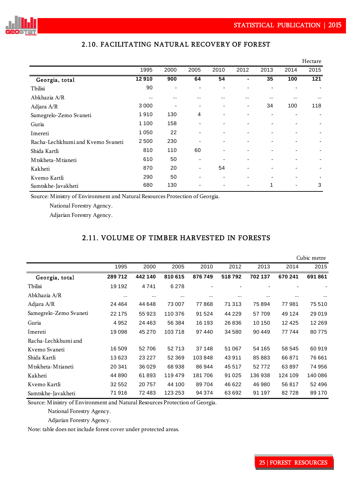

|                                   |          |                          |                          |                |                          |                          |          | Hectare  |
|-----------------------------------|----------|--------------------------|--------------------------|----------------|--------------------------|--------------------------|----------|----------|
|                                   | 1995     | 2000                     | 2005                     | 2010           | 2012                     | 2013                     | 2014     | 2015     |
| Georgia, total                    | 12910    | 900                      | 64                       | 54             | Ξ.                       | 35                       | 100      | 121      |
| Tbilisi                           | 90       | $\overline{\phantom{a}}$ | $\overline{\phantom{0}}$ | ۰              | ۰                        | $\blacksquare$           |          |          |
| Abkhazia A/R                      | $\cdots$ | $\cdots$                 |                          |                |                          | $\cdots$                 | $\cdots$ | $\cdots$ |
| Adjara A/R                        | 3 0 0 0  | ٠                        | ٠                        | ٠              | -                        | 34                       | 100      | 118      |
| Samegrelo-Zemo Svaneti            | 1910     | 130                      | 4                        | $\blacksquare$ | $\overline{\phantom{0}}$ | $\overline{\phantom{0}}$ |          |          |
| Guria                             | 1 1 0 0  | 158                      | ٠                        | $\blacksquare$ | ٠                        | $\overline{\phantom{0}}$ |          |          |
| Imereti                           | 1 0 5 0  | 22                       | $\overline{\phantom{0}}$ | ۰              | ٠                        |                          |          |          |
| Racha-Lechkhumi and Kvemo Svaneti | 2500     | 230                      | ٠                        | ۰              | $\overline{\phantom{0}}$ | $\blacksquare$           |          |          |
| Shida Kartli                      | 810      | 110                      | 60                       | ۰              | -                        |                          |          |          |
| M tskheta-M tianeti               | 610      | 50                       | $\overline{\phantom{0}}$ |                | ۰                        | $\blacksquare$           |          |          |
| Kakheti                           | 870      | 20                       | ٠                        | 54             | ۰                        |                          |          |          |
| Kvemo Kartli                      | 290      | 50                       | ٠                        | ۰              | ۰                        |                          |          |          |
| Samtskhe-Javakheti                | 680      | 130                      |                          |                | ۰                        | 1                        |          | 3        |

### 2.10. FACILITATING NATURAL RECOVERY OF FOREST

Source: Ministry of Environment and Natural Resources Protection of Georgia.

National Forestry Agency.

Adjarian Forestry Agency.

### 2.11. VOLUME OF TIMBER HARVESTED IN FORESTS

|                        |          |          |          |          |          |         |          | Cubic metre |
|------------------------|----------|----------|----------|----------|----------|---------|----------|-------------|
|                        | 1995     | 2000     | 2005     | 2010     | 2012     | 2013    | 2014     | 2015        |
| Georgia, total         | 289712   | 442 140  | 810 615  | 876749   | 518792   | 702 137 | 670 241  | 691861      |
| Tbilisi                | 19 192   | 4741     | 6 2 7 8  |          |          |         |          |             |
| Abkhazia A/R           | $\cdots$ | $\cdots$ | $\cdots$ | $\cdots$ | $\cdots$ |         | $\cdots$ | $\cdots$    |
| Adjara A/R             | 24 4 64  | 44 648   | 73 007   | 77868    | 71 313   | 75894   | 77981    | 75 510      |
| Samegrelo-Zemo Svaneti | 22 175   | 55 923   | 110 376  | 91 524   | 44 2 2 9 | 57709   | 49 1 24  | 29 0 19     |
| Guria                  | 4952     | 24 4 63  | 56 384   | 16 193   | 26 836   | 10 150  | 12 4 25  | 12 2 6 9    |
| Imereti                | 19098    | 45 270   | 103718   | 97440    | 34 580   | 90 449  | 77744    | 80775       |
| Racha-Lechkhumi and    |          |          |          |          |          |         |          |             |
| Kvemo Svaneti          | 16509    | 52706    | 52713    | 37 148   | 51 067   | 54 165  | 58 545   | 60919       |
| Shida Kartli           | 13623    | 23 2 27  | 52 369   | 103848   | 43911    | 85883   | 66871    | 76 661      |
| M tskheta-M tianeti    | 20 341   | 36 0 29  | 68938    | 86 944   | 45 517   | 52772   | 63897    | 74 956      |
| Kakheti                | 44 8 90  | 61893    | 119 479  | 181706   | 91 0 25  | 136938  | 124 109  | 140 086     |
| Kvemo Kartli           | 32 552   | 20757    | 44 100   | 89704    | 46 622   | 46 980  | 56817    | 52 496      |
| Samtskhe-Javakheti     | 71916    | 72483    | 123 253  | 94 374   | 63 692   | 91 197  | 82728    | 89 170      |

Source: Ministry of Environment and Natural Resources Protection of Georgia.

National Forestry Agency.

Adjarian Forestry Agency.

Note: table does not include forest cover under protected areas.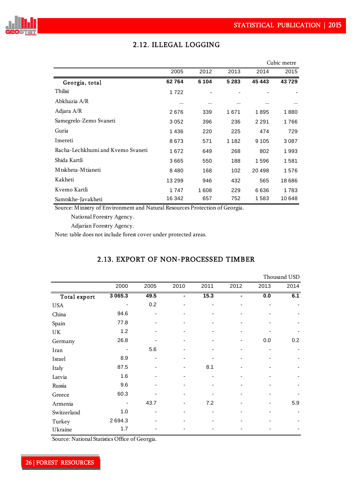

|                                   |          |         |         |         | Cubic metre |
|-----------------------------------|----------|---------|---------|---------|-------------|
|                                   | 2005     | 2012    | 2013    | 2014    | 2015        |
| Georgia, total                    | 62764    | 6 1 0 4 | 5 2 8 3 | 45443   | 43729       |
| Tbilisi                           | 1722     |         |         |         |             |
| Abkhazia A/R                      | $\cdots$ |         |         |         |             |
| Adjara A/R                        | 2676     | 339     | 1671    | 1895    | 1880        |
| Samegrelo-Zemo Svaneti            | 3052     | 396     | 236     | 2 2 9 1 | 1766        |
| Guria                             | 1436     | 220     | 225     | 474     | 729         |
| Imereti                           | 8673     | 571     | 1 1 8 2 | 9 1 0 5 | 3 0 8 7     |
| Racha-Lechkhumi and Kvemo Svaneti | 1672     | 649     | 268     | 802     | 1993        |
| Shida Kartli                      | 3665     | 550     | 188     | 1596    | 1581        |
| M tskheta-M tianeti               | 8480     | 168     | 102     | 20498   | 1576        |
| Kakheti                           | 13 299   | 946     | 432     | 565     | 18686       |
| Kvemo Kartli                      | 1747     | 1608    | 229     | 6636    | 1783        |
| Samtskhe-Javakheti                | 16 342   | 657     | 752     | 1583    | 10648       |

## 2.12. ILLEGAL LOGGING

Source: Ministry of Environment and Natural Resources Protection of Georgia.

National Forestry Agency.

Adjarian Forestry Agency.

Note: table does not include forest cover under protected areas.

## 2.13. EXPORT OF NON-PROCESSED TIMBER

|              |             |      |      |      |      |      | Thousand USD |
|--------------|-------------|------|------|------|------|------|--------------|
|              | 2000        | 2005 | 2010 | 2011 | 2012 | 2013 | 2014         |
| Total export | 3 0 6 5 . 3 | 49.5 |      | 15.3 | Ξ.   | 0.0  | 6.1          |
| <b>USA</b>   |             | 0.2  |      |      |      |      |              |
| China        | 94.6        | -    |      |      |      |      |              |
| Spain        | 77.8        | ٠    |      | -    |      |      |              |
| UK           | 1.2         |      |      |      |      |      |              |
| Germany      | 26.8        |      |      |      |      | 0.0  | 0.2          |
| Iran         |             | 5.6  |      |      |      |      |              |
| Israel       | 8.9         |      |      |      |      |      |              |
| Italy        | 87.5        |      |      | 8.1  |      |      |              |
| Latvia       | 1.6         |      |      |      |      |      |              |
| Russia       | 9.6         |      |      |      |      |      |              |
| Greece       | 60.3        |      |      |      |      |      |              |
| Armenia      |             | 43.7 |      | 7.2  |      |      | 5.9          |
| Switzerland  | 1.0         | ٠    |      | ٠    |      |      |              |
| Turkey       | 2694.3      |      |      |      |      |      |              |
| Ukraine      | 1.7         |      |      |      |      |      |              |

Source: National Statistics Office of Georgia.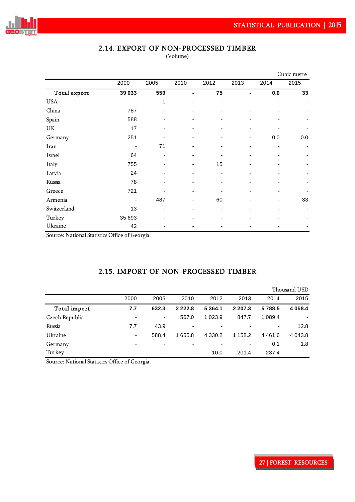

## 2.14. EXPORT OF NON-PROCESSED TIMBER

(Volume)

|              |        |      |      |      |                |      | Cubic metre |
|--------------|--------|------|------|------|----------------|------|-------------|
|              | 2000   | 2005 | 2010 | 2012 | 2013           | 2014 | 2015        |
| Total export | 39 033 | 559  | ٠    | 75   | $\overline{a}$ | 0.0  | 33          |
| <b>USA</b>   |        | 1    |      |      |                |      |             |
| China        | 787    |      |      |      |                |      |             |
| Spain        | 588    |      |      |      |                |      |             |
| UK           | 17     |      |      |      |                |      |             |
| Germany      | 251    |      |      |      |                | 0.0  | 0.0         |
| Iran         |        | 71   |      |      |                |      |             |
| Israel       | 64     |      |      |      |                |      |             |
| Italy        | 755    |      |      | 15   |                |      |             |
| Latvia       | 24     |      |      |      |                |      |             |
| Russia       | 78     |      |      |      |                |      |             |
| Greece       | 721    |      |      |      |                |      |             |
| Armenia      |        | 487  |      | 60   |                |      | 33          |
| Switzerland  | 13     |      |      |      |                |      |             |
| Turkey       | 35 693 |      |      |      |                |      |             |
| Ukraine      | 42     |      |      |      |                |      |             |

Source: National Statistics Office of Georgia.

## 2.15. IMPORT OF NON-PROCESSED TIMBER

|                |                          |                          |            |             |            |            | Thousand USD |
|----------------|--------------------------|--------------------------|------------|-------------|------------|------------|--------------|
|                | 2000                     | 2005                     | 2010       | 2012        | 2013       | 2014       | 2015         |
| Total import   | 7.7                      | 632.3                    | 2 2 2 2 .8 | 5 3 6 4 . 1 | 2 2 0 7 .3 | 5788.5     | 4 0 5 8 . 4  |
| Czech Republic |                          | ۰                        | 567.0      | 1 0 2 3 .9  | 847.7      | 1 0 8 9.4  |              |
| Russia         | 7.7                      | 43.9                     |            |             |            | ٠          | 12.8         |
| Ukraine        | ٠                        | 588.4                    | 1 655.8    | 4 3 3 0.2   | 158.2      | 4 4 6 1 .6 | 4 0 4 3 .8   |
| Germany        | $\overline{\phantom{a}}$ | $\overline{\phantom{0}}$ |            |             | ۰          | 0.1        | 1.8          |
| Turkey         | $\overline{\phantom{a}}$ | $\overline{\phantom{0}}$ | ۰          | 10.0        | 201.4      | 237.4      |              |

Source: National Statistics Office of Georgia.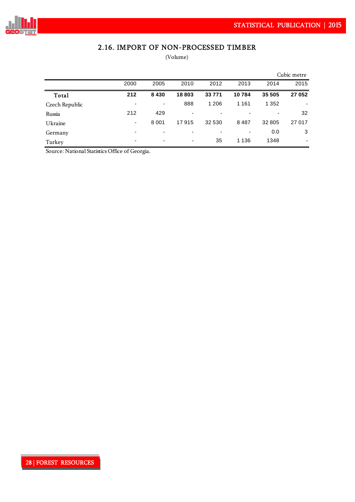

## 2.16. IMPORT OF NON-PROCESSED TIMBER

(Volume)

|                |                          |                          |       |          |         |         | Cubic metre |
|----------------|--------------------------|--------------------------|-------|----------|---------|---------|-------------|
|                | 2000                     | 2005                     | 2010  | 2012     | 2013    | 2014    | 2015        |
| Total          | 212                      | 8430                     | 18803 | 33 7 7 1 | 10784   | 35 505  | 27 052      |
| Czech Republic | -                        | $\overline{\phantom{a}}$ | 888   | 1 206    | 1 1 6 1 | 1 3 5 2 |             |
| Russia         | 212                      | 429                      | -     |          |         |         | 32          |
| Ukraine        | $\overline{\phantom{a}}$ | 8 0 0 1                  | 17915 | 32 530   | 8487    | 32 805  | 27 017      |
| Germany        |                          |                          |       |          |         | 0.0     | 3           |
| Turkey         | $\overline{\phantom{a}}$ | $\overline{\phantom{0}}$ | ٠     | 35       | 1 1 3 6 | 1348    |             |

Source: National Statistics Office of Georgia.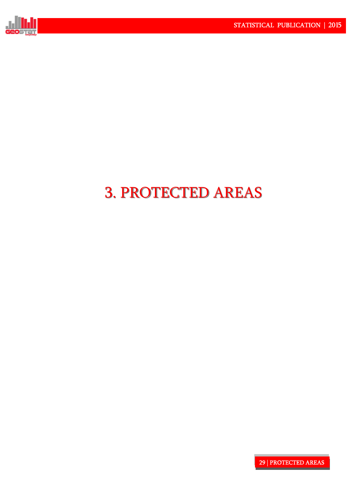

# 3. PROTECTED AREAS 3. PROTECTED AREAS

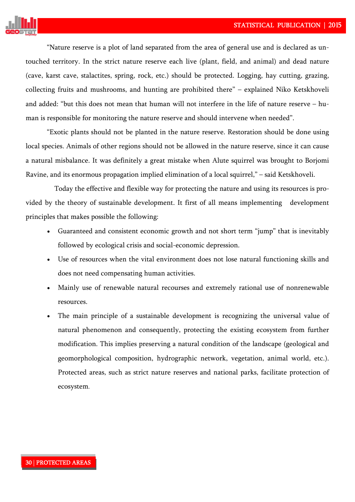

"Nature reserve is a plot of land separated from the area of general use and is declared as untouched territory. In the strict nature reserve each live (plant, field, and animal) and dead nature (cave, karst cave, stalactites, spring, rock, etc.) should be protected. Logging, hay cutting, grazing, collecting fruits and mushrooms, and hunting are prohibited there" – explained Niko Ketskhoveli and added: "but this does not mean that human will not interfere in the life of nature reserve – human is responsible for monitoring the nature reserve and should intervene when needed".

"Exotic plants should not be planted in the nature reserve. Restoration should be done using local species. Animals of other regions should not be allowed in the nature reserve, since it can cause a natural misbalance. It was definitely a great mistake when Alute squirrel was brought to Borjomi Ravine, and its enormous propagation implied elimination of a local squirrel," – said Ketskhoveli.

 Today the effective and flexible way for protecting the nature and using its resources is provided by the theory of sustainable development. It first of all means implementing development principles that makes possible the following:

- Guaranteed and consistent economic growth and not short term "jump" that is inevitably followed by ecological crisis and social-economic depression.
- Use of resources when the vital environment does not lose natural functioning skills and does not need compensating human activities.
- Mainly use of renewable natural recourses and extremely rational use of nonrenewable resources.
- The main principle of a sustainable development is recognizing the universal value of natural phenomenon and consequently, protecting the existing ecosystem from further modification. This implies preserving a natural condition of the landscape (geological and geomorphological composition, hydrographic network, vegetation, animal world, etc.). Protected areas, such as strict nature reserves and national parks, facilitate protection of ecosystem.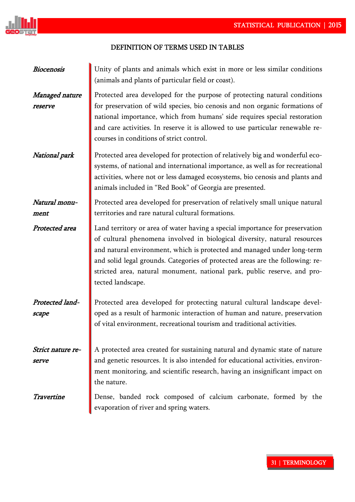

## DEFINITION OF TERMS USED IN TABLES!

| Biocenosis                 | Unity of plants and animals which exist in more or less similar conditions<br>(animals and plants of particular field or coast).                                                                                                                                                                                                                                                                                       |
|----------------------------|------------------------------------------------------------------------------------------------------------------------------------------------------------------------------------------------------------------------------------------------------------------------------------------------------------------------------------------------------------------------------------------------------------------------|
| Managed nature<br>reserve  | Protected area developed for the purpose of protecting natural conditions<br>for preservation of wild species, bio cenosis and non organic formations of<br>national importance, which from humans' side requires special restoration<br>and care activities. In reserve it is allowed to use particular renewable re-<br>courses in conditions of strict control.                                                     |
| National park              | Protected area developed for protection of relatively big and wonderful eco-<br>systems, of national and international importance, as well as for recreational<br>activities, where not or less damaged ecosystems, bio cenosis and plants and<br>animals included in "Red Book" of Georgia are presented.                                                                                                             |
| Natural monu-<br>ment      | Protected area developed for preservation of relatively small unique natural<br>territories and rare natural cultural formations.                                                                                                                                                                                                                                                                                      |
| Protected area             | Land territory or area of water having a special importance for preservation<br>of cultural phenomena involved in biological diversity, natural resources<br>and natural environment, which is protected and managed under long-term<br>and solid legal grounds. Categories of protected areas are the following: re-<br>stricted area, natural monument, national park, public reserve, and pro-<br>tected landscape. |
| Protected land-<br>scape   | Protected area developed for protecting natural cultural landscape devel-<br>oped as a result of harmonic interaction of human and nature, preservation<br>of vital environment, recreational tourism and traditional activities.                                                                                                                                                                                      |
| Strict nature re-<br>serve | A protected area created for sustaining natural and dynamic state of nature<br>and genetic resources. It is also intended for educational activities, environ-<br>ment monitoring, and scientific research, having an insignificant impact on<br>the nature.                                                                                                                                                           |
| Travertine                 | Dense, banded rock composed of calcium carbonate, formed by the<br>evaporation of river and spring waters.                                                                                                                                                                                                                                                                                                             |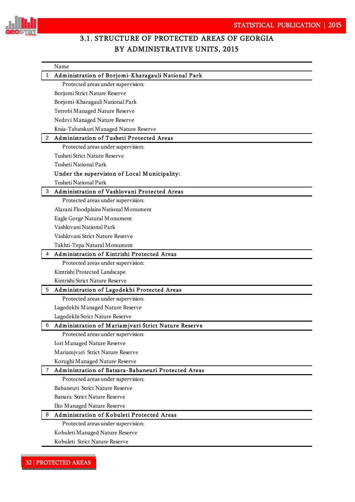

# 3.1. STRUCTURE OF PROTECTED AREAS OF GEORGIA BY ADMINISTRATIVE UNITS, 2015

|   | Name                                                |
|---|-----------------------------------------------------|
|   | Administration of Borjomi-Kharagauli National Park  |
|   | Protected areas under supervision:                  |
|   | Borjomi Strict Nature Reserve                       |
|   | Borjomi-Kharagauli National Park                    |
|   | Tetrobi Managed Nature Reserve                      |
|   | Nedzvi Managed Nature Reserve                       |
|   | Ktsia-Tabatskuri Managed Nature Reserve             |
| 2 | Administration of Tusheti Protected Areas           |
|   | Protected areas under supervision:                  |
|   | Tusheti Strict Nature Reserve                       |
|   | <b>Tusheti National Park</b>                        |
|   | Under the supervision of Local Municipality:        |
|   | <b>Tusheti National Park</b>                        |
| 3 | Administration of Vashlovani Protected Areas        |
|   | Protected areas under supervision:                  |
|   | Alazani Floodplains National Monument               |
|   | Eagle Gorge Natural Monument                        |
|   | Vashlovani National Park                            |
|   | Vashlovani Strict Nature Reserve                    |
|   | Takhti-Tepa Natural Monument                        |
| 4 | Administration of Kintrishi Protected Areas         |
|   | Protected areas under supervision:                  |
|   | Kintrishi Protected Landscape                       |
|   | Kintrishi Strict Nature Reserve                     |
| 5 | Administration of Lagodekhi Protected Areas         |
|   | Protected areas under supervision:                  |
|   | Lagodekhi Managed Nature Reserve                    |
|   | Lagodekhi Strict Nature Reserve                     |
| 6 | Administration of Mariamjvari Strict Nature Reserve |
|   | Protected areas under supervision:                  |
|   | Iori Managed Nature Reserve                         |
|   | Mariamjvari Strict Nature Reserve                   |
|   | Korughi Managed Nature Reserve                      |
| 7 | Administration of Batsara-Babaneuri Protected Areas |
|   | Protected areas under supervision:                  |
|   | Babaneuri Strict Nature Reserve                     |
|   | Batsara Strict Nature Reserve                       |
|   | Ilto Managed Nature Reserve                         |
| 8 | Administration of Kobuleti Protected Areas          |
|   | Protected areas under supervision:                  |
|   | Kobuleti Managed Nature Reserve                     |
|   | Kobuleti Strict Nature Reserve                      |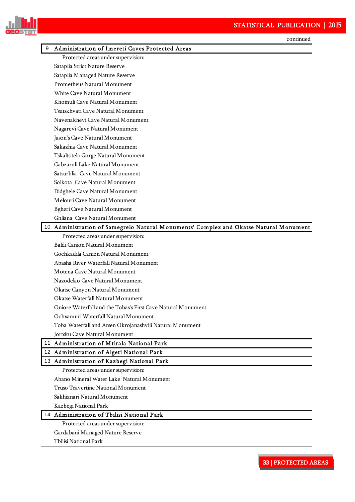

|   | continued                                                                             |
|---|---------------------------------------------------------------------------------------|
| 9 | Administration of Imereti Caves Protected Areas                                       |
|   | Protected areas under supervision:                                                    |
|   | Sataplia Strict Nature Reserve                                                        |
|   | Sataplia Managed Nature Reserve                                                       |
|   | Prometheus Natural Monument                                                           |
|   | White Cave Natural Monument                                                           |
|   | Khomuli Cave Natural Monument                                                         |
|   | Tsutskhvati Cave Natural Monument                                                     |
|   | Navenakhevi Cave Natural Monument                                                     |
|   | Nagarevi Cave Natural Monument                                                        |
|   | Jason's Cave Natural Monument                                                         |
|   | Sakazhia Cave Natural Monument                                                        |
|   | Tskaltsitela Gorge Natural Monument                                                   |
|   | Gabzaruli Lake Natural Monument                                                       |
|   | Satsurblia Cave Natural Monument                                                      |
|   | Solkota Cave Natural Monument                                                         |
|   | Didghele Cave Natural Monument                                                        |
|   | Melouri Cave Natural Monument                                                         |
|   | Bgheri Cave Natural Monument                                                          |
|   | Ghliana Cave Natural Monument                                                         |
|   | 10 Administration of Samegrelo Natural Monuments' Complex and Okatse Natural Monument |
|   | Protected areas under supervision:                                                    |
|   | Baldi Canion Natural Monument                                                         |
|   | Gochkadila Canion Natural Monument                                                    |
|   | Abasha River Waterfall Natural Monument                                               |
|   | Motena Cave Natural Monument                                                          |
|   | Nazodelao Cave Natural Monument                                                       |
|   | Okatse Canyon Natural Monument                                                        |
|   | Okatse Waterfall Natural Monument                                                     |
|   | Oniore Waterfall and the Tobas's First Cave Natural Monument                          |
|   | Ochxamuri Waterfall Natural Monument                                                  |
|   | Toba Waterfall and Arsen Okrojanashvili Natural Monument                              |
|   | Jortsku Cave Natural Monument                                                         |
|   | 11 Administration of Mtirala National Park                                            |
|   | 12 Administration of Algeti National Park                                             |
|   | 13 Administration of Kazbegi National Park                                            |
|   | Protected areas under supervision:                                                    |
|   | Abano Mineral Water Lake Natural Monument                                             |
|   | Truso Travertine National Monument                                                    |
|   | Sakhiznari Natural Monument                                                           |
|   | Kazbegi National Park                                                                 |
|   | 14 Administration of Tbilisi National Park                                            |
|   | Protected areas under supervision:                                                    |
|   | Gardabani Managed Nature Reserve                                                      |

Tbilisi National Park

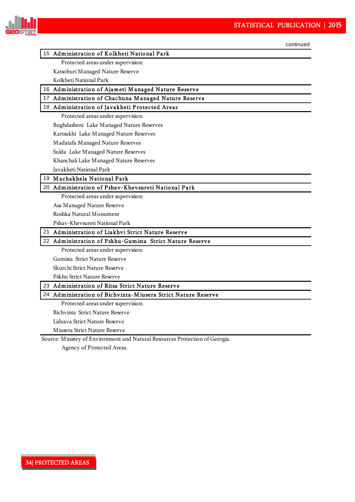

continued

#### 15 Administration of Kolkheti National Park

Protected areas under supervision:

Katsoburi Managed Nature Reserve

Kolkheti National Park

16 Administration of Ajameti M anaged Nature Reserve

17 Administration of Chachuna M anaged Nature Reserve

#### 18 Administration of Javakheti Protected Areas

Protected areas under supervision:

Bughdasheni Lake Managed Nature Reserves

Kartsakhi Lake Managed Nature Reserves

Madatafa Managed Nature Reserves

Sulda Lake Managed Nature Reserves

Khanchali Lake Managed Nature Reserves

Javakheti National Park

#### 19 M achakhela National Park

#### 20 Administration of Pshav-Khevsureti National Park

Protected areas under supervision:

Asa Managed Nature Reserve

Roshka Natural Monument

Pshav-Khevsureti National Park

#### 21 Administration of Liakhvi Strict Nature Reserve

#### 22 Administration of Pskhu-Gumista Strict Nature Reserve

Protected areas under supervision:

Gumista Strict Nature Reserve

Skurchi Strict Nature Reserve

Pskhu Strict Nature Reserve

23 Administration of Ritsa Strict Nature Reserve

#### 24 Administration of Bichvinta-M iusera Strict Nature Reserve

Protected areas under supervision:

Bichvinta Strict Nature Reserve

Lidzava Strict Nature Reserve

Miusera Strict Nature Reserve

Source: Ministry of Environment and Natural Resources Protection of Georgia.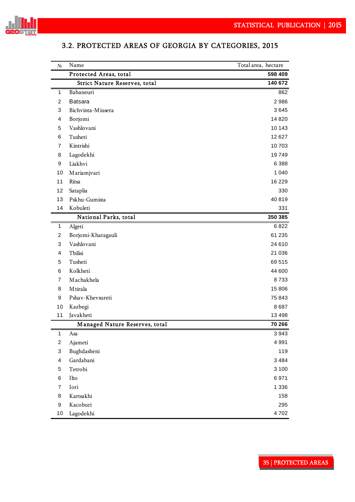

| $N_2$                   | Name                                 | Total area, hectare |
|-------------------------|--------------------------------------|---------------------|
|                         | Protected Areas, total               | 598 409             |
|                         | <b>Strict Nature Reserves, total</b> | 140 672             |
| 1                       | Babaneuri                            | 862                 |
| 2                       | <b>Batsara</b>                       | 2986                |
| 3                       | Bichvinta-Miusera                    | 3645                |
| 4                       | Borjomi                              | 14 8 20             |
| 5                       | Vashlovani                           | 10 143              |
| 6                       | Tusheti                              | 12627               |
| 7                       | Kintrishi                            | 10703               |
| 8                       | Lagodekhi                            | 19749               |
| 9                       | Liakhvi                              | 6388                |
| 10                      | Mariamjvari                          | 1 0 4 0             |
| 11                      | Ritsa                                | 16 2 29             |
| 12                      | Sataplia                             | 330                 |
| 13                      | Pskhu-Gumista                        | 40819               |
| 14                      | Kobuleti                             | 331                 |
|                         | National Parks, total                | 350 385             |
| 1                       | Algeti                               | 6822                |
| 2                       | Borjomi-Kharagauli                   | 61 235              |
| 3                       | Vashlovani                           | 24 610              |
| 4                       | Tbilisi                              | 21 036              |
| 5                       | Tusheti                              | 69515               |
| 6                       | Kolkheti                             | 44 600              |
| 7                       | Machakhela                           | 8733                |
| 8                       | M tirala                             | 15806               |
| 9                       | Pshav-Khevsureti                     | 75843               |
| 10                      | Kazbegi                              | 8687                |
| 11                      | Javakheti                            | 13498               |
|                         | Managed Nature Reserves, total       | 70 266              |
| $\mathbf{1}$            | Asa                                  | 3943                |
| $\overline{\mathbf{c}}$ | Ajameti                              | 4991                |
| 3                       | Bughdasheni                          | 119                 |
| 4                       | Gardabani                            | 3484                |
| 5                       | Tetrobi                              | 3 1 0 0             |
| 6                       | Ilto                                 | 6971                |
| $\overline{7}$          | Iori                                 | 1 3 3 6             |
| 8                       | Kartsakhi                            | 158                 |
| 9                       | Kacoburi                             | 295                 |
| 10                      | Lagodekhi                            | 4702                |

## 3.2. PROTECTED AREAS OF GEORGIA BY CATEGORIES, 2015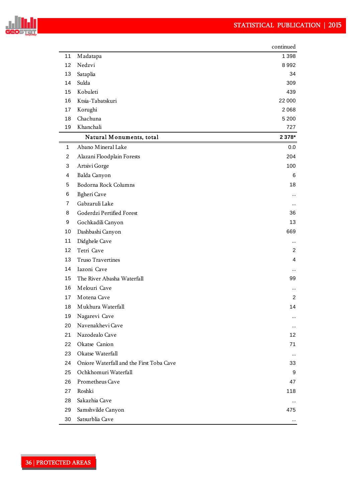

|    |                                          | continued |
|----|------------------------------------------|-----------|
| 11 | Madatapa                                 | 1 3 9 8   |
| 12 | Nedzvi                                   | 8992      |
| 13 | Sataplia                                 | 34        |
| 14 | Sulda                                    | 309       |
| 15 | Kobuleti                                 | 439       |
| 16 | Ktsia-Tabatskuri                         | 22 000    |
| 17 | Korughi                                  | 2068      |
| 18 | Chachuna                                 | 5 2 0 0   |
| 19 | Khanchali                                | 727       |
|    | Natural Monuments, total                 | 2 3 78*   |
| 1  | Abano Mineral Lake                       | 0.0       |
| 2  | Alazani Floodplain Forests               | 204       |
| 3  | Artsivi Gorge                            | 100       |
| 4  | Balda Canyon                             | 6         |
| 5  | Bodorna Rock Columns                     | 18        |
| 6  | <b>Bgheri</b> Cave                       |           |
| 7  | Gabzaruli Lake                           | $\ddotsc$ |
| 8  | Goderdzi Pertified Forest                | 36        |
| 9  | Gochkadili Canyon                        | 13        |
| 10 | Dashbashi Canyon                         | 669       |
| 11 | Didghele Cave                            | $\cdots$  |
| 12 | Tetri Cave                               | 2         |
| 13 | Truso Travertines                        | 4         |
| 14 | Iazoni Cave                              |           |
| 15 | The River Abasha Waterfall               | 99        |
| 16 | Melouri Cave                             |           |
| 17 | Motena Cave                              | 2         |
| 18 | Mukhura Waterfall                        | 14        |
| 19 | Nagarevi Cave                            | $\cdots$  |
| 20 | Navenakhevi Cave                         |           |
| 21 | Nazodealo Cave                           | 12        |
| 22 | Okatse Canion                            | 71        |
| 23 | Okatse Waterfall                         | $\cdots$  |
| 24 | Oniore Waterfall and the First Toba Cave | 33        |
| 25 | Ochkhomuri Waterfall                     | 9         |
| 26 | Prometheus Cave                          | 47        |
| 27 | Roshki                                   | 118       |
| 28 | Sakazhia Cave                            |           |
| 29 | Samshvilde Canyon                        | 475       |
| 30 | Satsurblia Cave                          |           |
|    |                                          |           |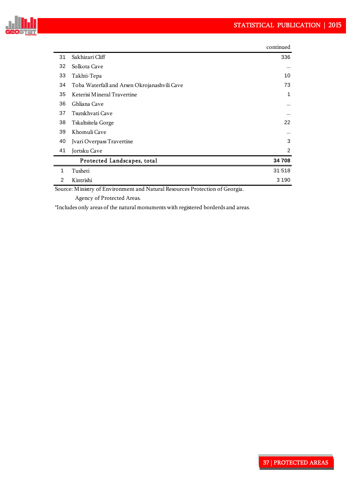

|    |                                              | continued |
|----|----------------------------------------------|-----------|
| 31 | Sakhizari Cliff                              | 336       |
| 32 | Solkota Cave                                 | $\cdots$  |
| 33 | Takhti-Tepa                                  | 10        |
| 34 | Toba Waterfall and Arsen Okrojanashvili Cave | 73        |
| 35 | Keterisi Mineral Travertine                  | 1         |
| 36 | Ghliana Cave                                 | $\cdots$  |
| 37 | Tsutskhvati Cave                             | $\cdots$  |
| 38 | Tskaltsitela Gorge                           | 22        |
| 39 | Khomuli Cave                                 | $\cdots$  |
| 40 | Jvari Overpass Travertine                    | 3         |
| 41 | Jortsku Cave                                 | 2         |
|    | Protected Landscapes, total                  | 34 708    |
| 1  | Tusheti                                      | 31 518    |
| 2  | Kintrishi                                    | 3 1 9 0   |

Source: Ministry of Environment and Natural Resources Protection of Georgia.

Agency of Protected Areas.

\*Includes only areas of the natural monuments with registered borderds and areas.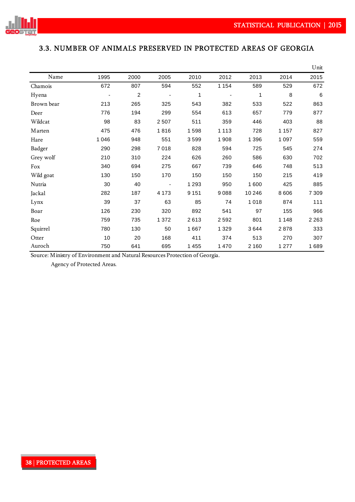

## 3.3. NUMBER OF ANIMALS PRESERVED IN PROTECTED AREAS OF GEORGIA

|               |         |                |         |         |         |         |         | Unit            |
|---------------|---------|----------------|---------|---------|---------|---------|---------|-----------------|
| Name          | 1995    | 2000           | 2005    | 2010    | 2012    | 2013    | 2014    | 2015            |
| Chamois       | 672     | 807            | 594     | 552     | 1 1 5 4 | 589     | 529     | 672             |
| Hyena         |         | $\overline{c}$ |         | 1       |         | 1       | 8       | $6\phantom{1}6$ |
| Brown bear    | 213     | 265            | 325     | 543     | 382     | 533     | 522     | 863             |
| Deer          | 776     | 194            | 299     | 554     | 613     | 657     | 779     | 877             |
| Wildcat       | 98      | 83             | 2 5 0 7 | 511     | 359     | 446     | 403     | 88              |
| Marten        | 475     | 476            | 1816    | 1598    | 1 1 1 3 | 728     | 1 1 5 7 | 827             |
| Hare          | 1 0 4 6 | 948            | 551     | 3599    | 1908    | 1 3 9 6 | 1 0 9 7 | 559             |
| <b>Badger</b> | 290     | 298            | 7018    | 828     | 594     | 725     | 545     | 274             |
| Grey wolf     | 210     | 310            | 224     | 626     | 260     | 586     | 630     | 702             |
| Fox           | 340     | 694            | 275     | 667     | 739     | 646     | 748     | 513             |
| Wild goat     | 130     | 150            | 170     | 150     | 150     | 150     | 215     | 419             |
| Nutria        | 30      | 40             |         | 1 2 9 3 | 950     | 1600    | 425     | 885             |
| Jackal        | 282     | 187            | 4 1 7 3 | 9 1 5 1 | 9088    | 10 246  | 8606    | 7 3 0 9         |
| Lynx          | 39      | 37             | 63      | 85      | 74      | 1018    | 874     | 111             |
| Boar          | 126     | 230            | 320     | 892     | 541     | 97      | 155     | 966             |
| Roe           | 759     | 735            | 1 3 7 2 | 2613    | 2592    | 801     | 1 1 4 8 | 2 2 6 3         |
| Squirrel      | 780     | 130            | 50      | 1667    | 1 3 2 9 | 3644    | 2878    | 333             |
| Otter         | 10      | 20             | 168     | 411     | 374     | 513     | 270     | 307             |
| Auroch        | 750     | 641            | 695     | 1 4 5 5 | 1470    | 2 1 6 0 | 1 277   | 1689            |

Source: Ministry of Environment and Natural Resources Protection of Georgia.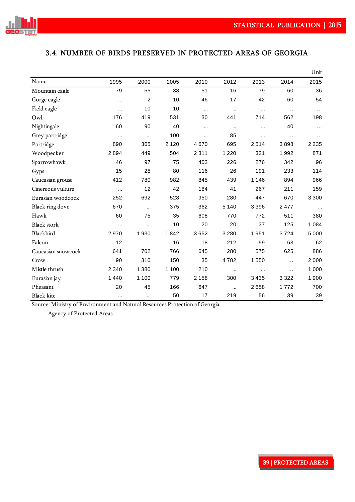

## 3.4. NUMBER OF BIRDS PRESERVED IN PROTECTED AREAS OF GEORGIA

|                    |          |         |         |          |          |         |          | Unit      |
|--------------------|----------|---------|---------|----------|----------|---------|----------|-----------|
| Name               | 1995     | 2000    | 2005    | 2010     | 2012     | 2013    | 2014     | 2015      |
| Mountain eagle     | 79       | 55      | 38      | 51       | 16       | 79      | 60       | 36        |
| Gorge eagle        |          | 2       | 10      | 46       | 17       | 42      | 60       | 54        |
| Field eagle        |          | 10      | 10      | $\cdots$ | $\cdots$ |         | $\ldots$ | $\ldots$  |
| Owl                | 176      | 419     | 531     | 30       | 441      | 714     | 562      | 198       |
| Nightingale        | 60       | 90      | 40      | $\cdots$ | $\cdots$ |         | 40       | $\cdots$  |
| Grey partridge     | $\cdots$ |         | 100     | $\cdots$ | 85       |         | .        | $\cdots$  |
| Partridge          | 890      | 365     | 2 1 2 0 | 4670     | 695      | 2514    | 3898     | 2 2 3 5   |
| Woodpecker         | 2894     | 449     | 504     | 2 3 1 1  | 1 2 2 0  | 321     | 1992     | 871       |
| Sparrowhawk        | 46       | 97      | 75      | 403      | 226      | 276     | 342      | 96        |
| Gyps               | 15       | 28      | 80      | 116      | 26       | 191     | 233      | 114       |
| Caucasian grouse   | 412      | 780     | 982     | 845      | 439      | 1 1 4 6 | 894      | 966       |
| Cinereous vulture  | $\cdots$ | 12      | 42      | 184      | 41       | 267     | 211      | 159       |
| Eurasian woodcock  | 252      | 692     | 528     | 950      | 280      | 447     | 670      | 3 3 0 0   |
| Black ring dove    | 670      |         | 375     | 362      | 5 1 4 0  | 3 3 9 6 | 2477     | $\ddotsc$ |
| Hawk               | 60       | 75      | 35      | 608      | 770      | 772     | 511      | 380       |
| <b>Black stork</b> | $\cdots$ |         | 10      | 20       | 20       | 137     | 125      | 1 0 8 4   |
| Blackbird          | 2970     | 1930    | 1842    | 3652     | 3 2 8 0  | 1951    | 3724     | 5 0 0 0   |
| Falcon             | 12       |         | 16      | 18       | 212      | 59      | 63       | 62        |
| Caucasian snowcock | 641      | 702     | 766     | 645      | 280      | 575     | 625      | 886       |
| Crow               | 90       | 310     | 150     | 35       | 4782     | 1550    | $\cdots$ | 2 0 0 0   |
| M istle thrush     | 2 3 4 0  | 1 3 8 0 | 1 1 0 0 | 210      | $\cdots$ |         | .        | 1 0 0 0   |
| Eurasian jay       | 1440     | 1 1 0 0 | 779     | 2 1 5 8  | 300      | 3435    | 3 3 2 2  | 1900      |
| Pheasant           | 20       | 45      | 166     | 647      | $\cdots$ | 2658    | 1772     | 700       |
| <b>Black kite</b>  |          |         | 50      | 17       | 219      | 56      | 39       | 39        |

Source: Ministry of Environment and Natural Resources Protection of Georgia.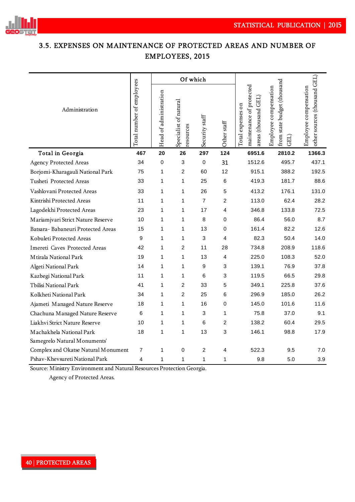

## 3.5. EXPENSES ON MAINTENANCE OF PROTECTED AREAS AND NUMBER OF EMPLOYEES, 2015

|                                     |                           |                        | Of which                           |                |                |                                                                      |                                                              |                                                       |
|-------------------------------------|---------------------------|------------------------|------------------------------------|----------------|----------------|----------------------------------------------------------------------|--------------------------------------------------------------|-------------------------------------------------------|
| Administration                      | Total number of employees | Head of administration | Specialist of natural<br>resources | Security staff | Other staff    | maintenance of protected<br>areas (thousand GEL<br>Total expenses on | from state budget (thousand<br>Employee compensation<br>GEL) | other sources (thousand GEL)<br>Employee compensation |
| Total in Georgia                    | 467                       | 20                     | 26                                 | 297            | 124            | 6951.6                                                               | 2810.2                                                       | 1366.3                                                |
| <b>Agency Protected Areas</b>       | 34                        | 0                      | 3                                  | 0              | 31             | 1512.6                                                               | 495.7                                                        | 437.1                                                 |
| Borjomi-Kharagauli National Park    | 75                        | 1                      | 2                                  | 60             | 12             | 915.1                                                                | 388.2                                                        | 192.5                                                 |
| Tusheti Protected Areas             | 33                        | $\mathbf{1}$           | 1                                  | 25             | 6              | 419.3                                                                | 181.7                                                        | 88.6                                                  |
| Vashlovani Protected Areas          | 33                        | 1                      | 1                                  | 26             | 5              | 413.2                                                                | 176.1                                                        | 131.0                                                 |
| Kintrishi Protected Areas           | 11                        | 1                      | 1                                  | $\overline{7}$ | $\overline{2}$ | 113.0                                                                | 62.4                                                         | 28.2                                                  |
| Lagodekhi Protected Areas           | 23                        | 1                      | 1                                  | 17             | 4              | 346.8                                                                | 133.8                                                        | 72.5                                                  |
| Mariamjvari Strict Nature Reserve   | 10                        | 1                      | 1                                  | 8              | $\pmb{0}$      | 86.4                                                                 | 56.0                                                         | 8.7                                                   |
| Batsara-Babaneuri Protected Areas   | 15                        | 1                      | 1                                  | 13             | 0              | 161.4                                                                | 82.2                                                         | 12.6                                                  |
| Kobuleti Protected Areas            | 9                         | 1                      | 1                                  | 3              | $\overline{4}$ | 82.3                                                                 | 50.4                                                         | 14.0                                                  |
| Imereti Caves Protected Areas       | 42                        | 1                      | 2                                  | 11             | 28             | 734.8                                                                | 208.9                                                        | 118.6                                                 |
| Mtirala National Park               | 19                        | 1                      | 1                                  | 13             | 4              | 225.0                                                                | 108.3                                                        | 52.0                                                  |
| Algeti National Park                | 14                        | 1                      | 1                                  | 9              | 3              | 139.1                                                                | 76.9                                                         | 37.8                                                  |
| Kazbegi National Park               | 11                        | 1                      | 1                                  | 6              | 3              | 119.5                                                                | 66.5                                                         | 29.8                                                  |
| Tbilisi National Park               | 41                        | 1                      | $\overline{2}$                     | 33             | 5              | 349.1                                                                | 225.8                                                        | 37.6                                                  |
| Kolkheti National Park              | 34                        | 1                      | $\overline{c}$                     | 25             | 6              | 296.9                                                                | 185.0                                                        | 26.2                                                  |
| Ajameti Managed Nature Reserve      | 18                        | 1                      | 1                                  | 16             | $\pmb{0}$      | 145.0                                                                | 101.6                                                        | 11.6                                                  |
| Chachuna Managed Nature Reserve     | 6                         | 1                      | $\mathbf{1}$                       | 3              | $\mathbf{1}$   | 75.8                                                                 | 37.0                                                         | 9.1                                                   |
| Liakhvi Strict Nature Reserve       | 10                        | 1                      | 1                                  | 6              | 2              | 138.2                                                                | 60.4                                                         | 29.5                                                  |
| Machakhela National Park            | 18                        | $\mathbf{1}$           | $\mathbf{1}$                       | 13             | 3              | 146.1                                                                | 98.8                                                         | 17.9                                                  |
| Samegrelo Natural Monuments'        |                           |                        |                                    |                |                |                                                                      |                                                              |                                                       |
| Complex and Okatse Natural Monument | 7                         | 1                      | 0                                  | 2              | 4              | 522.3                                                                | 9.5                                                          | 7.0                                                   |
| Pshav-Khevsureti National Park      | 4                         | 1                      | 1                                  | $\mathbf{1}$   | 1              | 9.8                                                                  | 5.0                                                          | 3.9                                                   |

Source: Ministry Environment and Natural Resources Protection Georgia.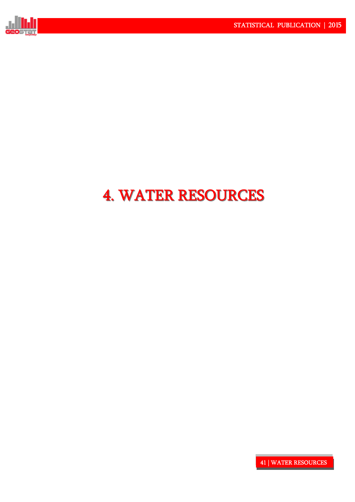

# 4. WATER RESOURCES 4. WATER RESOURCES

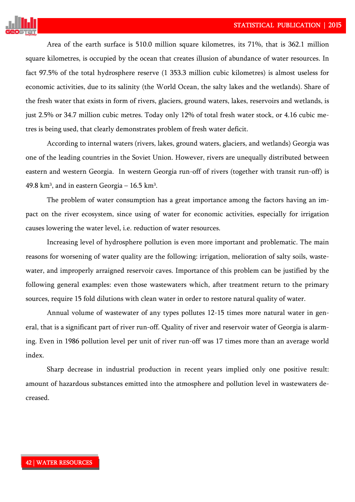

Area of the earth surface is 510.0 million square kilometres, its 71%, that is 362.1 million square kilometres, is occupied by the ocean that creates illusion of abundance of water resources. In fact 97.5% of the total hydrosphere reserve (1 353.3 million cubic kilometres) is almost useless for economic activities, due to its salinity (the World Ocean, the salty lakes and the wetlands). Share of the fresh water that exists in form of rivers, glaciers, ground waters, lakes, reservoirs and wetlands, is just 2.5% or 34.7 million cubic metres. Today only 12% of total fresh water stock, or 4.16 cubic metres is being used, that clearly demonstrates problem of fresh water deficit.

According to internal waters (rivers, lakes, ground waters, glaciers, and wetlands) Georgia was one of the leading countries in the Soviet Union. However, rivers are unequally distributed between eastern and western Georgia. In western Georgia run-off of rivers (together with transit run-off) is 49.8 km<sup>3</sup>, and in eastern Georgia –  $16.5$  km<sup>3</sup>.

The problem of water consumption has a great importance among the factors having an impact on the river ecosystem, since using of water for economic activities, especially for irrigation causes lowering the water level, i.e. reduction of water resources.

Increasing level of hydrosphere pollution is even more important and problematic. The main reasons for worsening of water quality are the following: irrigation, melioration of salty soils, wastewater, and improperly arraigned reservoir caves. Importance of this problem can be justified by the following general examples: even those wastewaters which, after treatment return to the primary sources, require 15 fold dilutions with clean water in order to restore natural quality of water.

Annual volume of wastewater of any types pollutes 12-15 times more natural water in general, that is a significant part of river run-off. Quality of river and reservoir water of Georgia is alarming. Even in 1986 pollution level per unit of river run-off was 17 times more than an average world index.

Sharp decrease in industrial production in recent years implied only one positive result: amount of hazardous substances emitted into the atmosphere and pollution level in wastewaters decreased.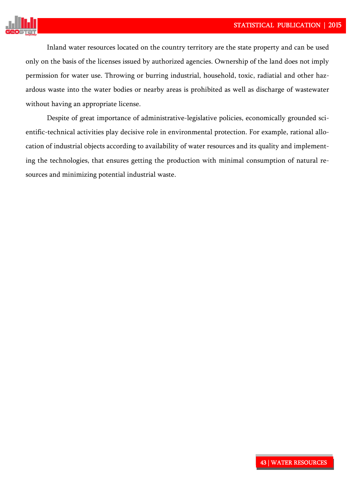

Inland water resources located on the country territory are the state property and can be used only on the basis of the licenses issued by authorized agencies. Ownership of the land does not imply permission for water use. Throwing or burring industrial, household, toxic, radiatial and other hazardous waste into the water bodies or nearby areas is prohibited as well as discharge of wastewater without having an appropriate license.

Despite of great importance of administrative-legislative policies, economically grounded scientific-technical activities play decisive role in environmental protection. For example, rational allocation of industrial objects according to availability of water resources and its quality and implementing the technologies, that ensures getting the production with minimal consumption of natural resources and minimizing potential industrial waste.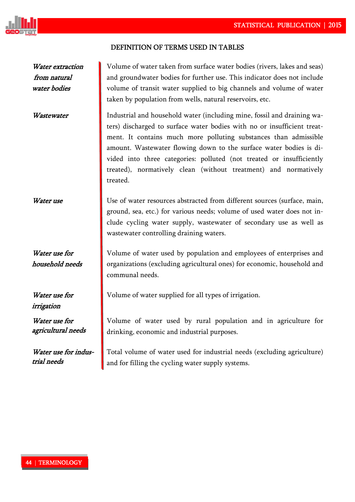

#### DEFINITION OF TERMS USED IN TABLES!

Water extraction from natural water bodies

Water use for household needs

Water use for irrigation

Water use for agricultural needs

Water use for industrial needs

Volume of water taken from surface water bodies (rivers, lakes and seas) and groundwater bodies for further use. This indicator does not include volume of transit water supplied to big channels and volume of water taken by population from wells, natural reservoirs, etc.

Wastewater **I** Industrial and household water (including mine, fossil and draining waters) discharged to surface water bodies with no or insufficient treatment. It contains much more polluting substances than admissible amount. Wastewater flowing down to the surface water bodies is divided into three categories: polluted (not treated or insufficiently treated), normatively clean (without treatment) and normatively treated.

Water use Use of water resources abstracted from different sources (surface, main, ground, sea, etc.) for various needs; volume of used water does not include cycling water supply, wastewater of secondary use as well as wastewater controlling draining waters.

> Volume of water used by population and employees of enterprises and organizations (excluding agricultural ones) for economic, household and communal needs.

Volume of water supplied for all types of irrigation.

Volume of water used by rural population and in agriculture for drinking, economic and industrial purposes.

Total volume of water used for industrial needs (excluding agriculture) and for filling the cycling water supply systems.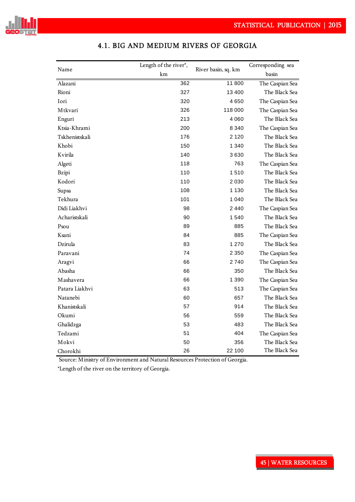

|                | Length of the river*, |                     | Corresponding sea |
|----------------|-----------------------|---------------------|-------------------|
| Name           | km                    | River basin, sq. km | basin             |
| Alazani        | 362                   | 11800               | The Caspian Sea   |
| Rioni          | 327                   | 13400               | The Black Sea     |
| Iori           | 320                   | 4650                | The Caspian Sea   |
| Mtkvari        | 326                   | 118 000             | The Caspian Sea   |
| Enguri         | 213                   | 4060                | The Black Sea     |
| Ktsia-Khrami   | 200                   | 8 3 4 0             | The Caspian Sea   |
| Tskhenistskali | 176                   | 2 1 2 0             | The Black Sea     |
| Khobi          | 150                   | 1 340               | The Black Sea     |
| Kvirila        | 140                   | 3630                | The Black Sea     |
| Algeti         | 118                   | 763                 | The Caspian Sea   |
| <b>Bzipi</b>   | 110                   | 1510                | The Black Sea     |
| Kodori         | 110                   | 2030                | The Black Sea     |
| Supsa          | 108                   | 1 1 3 0             | The Black Sea     |
| Tekhura        | 101                   | 1 040               | The Black Sea     |
| Didi Liakhvi   | 98                    | 2440                | The Caspian Sea   |
| Acharistskali  | 90                    | 1 540               | The Black Sea     |
| Psou           | 89                    | 885                 | The Black Sea     |
| Ksani          | 84                    | 885                 | The Caspian Sea   |
| Dzirula        | 83                    | 1 2 7 0             | The Black Sea     |
| Paravani       | 74                    | 2 3 5 0             | The Caspian Sea   |
| Aragvi         | 66                    | 2740                | The Caspian Sea   |
| Abasha         | 66                    | 350                 | The Black Sea     |
| Mashavera      | 66                    | 1 3 9 0             | The Caspian Sea   |
| Patara Liakhvi | 63                    | 513                 | The Caspian Sea   |
| Natanebi       | 60                    | 657                 | The Black Sea     |
| Khanistskali   | 57                    | 914                 | The Black Sea     |
| Okumi          | 56                    | 559                 | The Black Sea     |
| Ghalidzga      | 53                    | 483                 | The Black Sea     |
| Tedzami        | 51                    | 404                 | The Caspian Sea   |
| Mokvi          | 50                    | 356                 | The Black Sea     |
| Chorokhi       | 26                    | 22 100              | The Black Sea     |

## 4.1. BIG AND MEDIUM RIVERS OF GEORGIA

Source: Ministry of Environment and Natural Resources Protection of Georgia.

\*Length of the river on the territory of Georgia.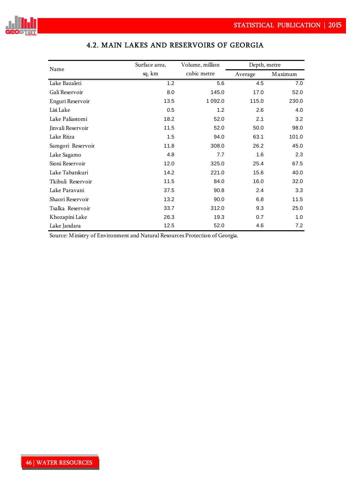

| Name              | Surface area, | Volume, million | Depth, metre |         |  |
|-------------------|---------------|-----------------|--------------|---------|--|
|                   | sq. km        | cubic metre     | Average      | Maximum |  |
| Lake Bazaleti     | 1.2           | 5.6             | 4.5          | 7.0     |  |
| Gali Reservoir    | 8.0           | 145.0           | 17.0         | 52.0    |  |
| Enguri Reservoir  | 13.5          | 1 0 9 2.0       | 115.0        | 230.0   |  |
| Lisi Lake         | 0.5           | 1.2             | 2.6          | 4.0     |  |
| Lake Paliastomi   | 18.2          | 52.0            | 2.1          | 3.2     |  |
| Jinvali Reservoir | 11.5          | 52.0            | 50.0         | 98.0    |  |
| Lake Ritza        | 1.5           | 94.0            | 63.1         | 101.0   |  |
| Samgori Reservoir | 11.8          | 308.0           | 26.2         | 45.0    |  |
| Lake Sagamo       | 4.8           | 7.7             | 1.6          | 2.3     |  |
| Sioni Reservoir   | 12.0          | 325.0           | 25.4         | 67.5    |  |
| Lake Tabatskuri   | 14.2          | 221.0           | 15.6         | 40.0    |  |
| Tkibuli Reservoir | 11.5          | 84.0            | 16.0         | 32.0    |  |
| Lake Paravani     | 37.5          | 90.8            | 2.4          | 3.3     |  |
| Shaori Reservoir  | 13.2          | 90.0            | 6.8          | 11.5    |  |
| Tsalka Reservoir  | 33.7          | 312.0           | 9.3          | 25.0    |  |
| Khozapini Lake    | 26.3          | 19.3            | 0.7          | 1.0     |  |
| Lake Jandara      | 12.5          | 52.0            | 4.6          | 7.2     |  |

# 4.2. MAIN LAKES AND RESERVOIRS OF GEORGIA

Source: Ministry of Environment and Natural Resources Protection of Georgia.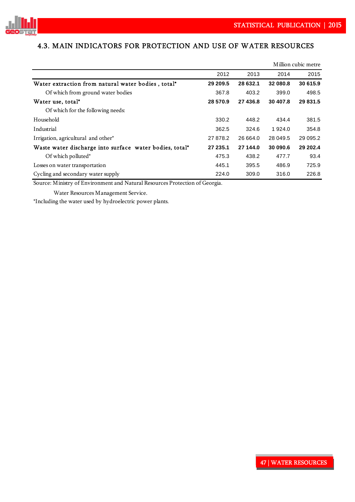

## 4.3. MAIN INDICATORS FOR PROTECTION AND USE OF WATER RESOURCES

|                                                         |          |          |          | Million cubic metre |
|---------------------------------------------------------|----------|----------|----------|---------------------|
|                                                         | 2012     | 2013     | 2014     | 2015                |
| Water extraction from natural water bodies, total*      | 29 209.5 | 28 632.1 | 32 080.8 | 30 615.9            |
| Of which from ground water bodies                       | 367.8    | 403.2    | 399.0    | 498.5               |
| Water use, total*                                       | 28 570.9 | 27 436.8 | 30 407.8 | 29 831.5            |
| Of which for the following needs:                       |          |          |          |                     |
| Household                                               | 330.2    | 448.2    | 434.4    | 381.5               |
| Industrial                                              | 362.5    | 324.6    | 1924.0   | 354.8               |
| Irrigation, agricultural and other*                     | 27 878.2 | 26 664.0 | 28 049.5 | 29 095.2            |
| Waste water discharge into surface water bodies, total* | 27 235.1 | 27 144.0 | 30 090.6 | 29 20 2.4           |
| Of which polluted*                                      | 475.3    | 438.2    | 477.7    | 93.4                |
| Losses on water transportation                          | 445.1    | 395.5    | 486.9    | 725.9               |
| Cycling and secondary water supply                      | 224.0    | 309.0    | 316.0    | 226.8               |

Source: Ministry of Environment and Natural Resources Protection of Georgia.

Water Resources Management Service.

\*Including the water used by hydroelectric power plants.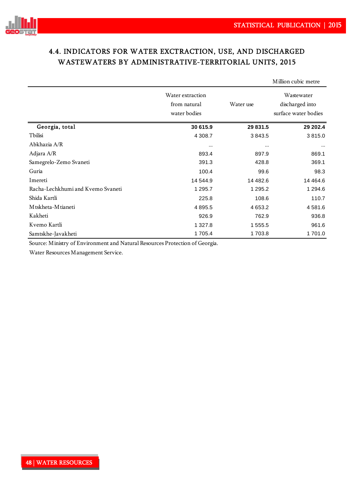

## 4.4. INDICATORS FOR WATER EXCTRACTION, USE, AND DISCHARGED WASTEWATERS BY ADMINISTRATIVE-TERRITORIAL UNITS, 2015

|                                   |                                                  |           | Million cubic metre                                   |
|-----------------------------------|--------------------------------------------------|-----------|-------------------------------------------------------|
|                                   | Water extraction<br>from natural<br>water bodies | Water use | Wastewater<br>discharged into<br>surface water bodies |
| Georgia, total                    | 30 615.9                                         | 29 831.5  | 29 202.4                                              |
| Tbilisi                           | 4 3 0 8.7                                        | 3843.5    | 3815.0                                                |
| Abkhazia A/R                      | $\cdots$                                         | $\cdots$  |                                                       |
| Adjara A/R                        | 893.4                                            | 897.9     | 869.1                                                 |
| Samegrelo-Zemo Svaneti            | 391.3                                            | 428.8     | 369.1                                                 |
| Guria                             | 100.4                                            | 99.6      | 98.3                                                  |
| Imereti                           | 14 544.9                                         | 14 482.6  | 14 4 64.6                                             |
| Racha-Lechkhumi and Kvemo Svaneti | 1 2 9 5.7                                        | 1 295.2   | 1 2 9 4 .6                                            |
| Shida Kartli                      | 225.8                                            | 108.6     | 110.7                                                 |
| M tskheta-M tianeti               | 4 8 9 5.5                                        | 4 6 5 3.2 | 4 5 8 1 .6                                            |
| Kakheti                           | 926.9                                            | 762.9     | 936.8                                                 |
| Kvemo Kartli                      | 1 327.8                                          | 1 555.5   | 961.6                                                 |
| Samtskhe-Javakheti                | 1705.4                                           | 1703.8    | 1701.0                                                |

Source: Ministry of Environment and Natural Resources Protection of Georgia.

Water Resources Management Service.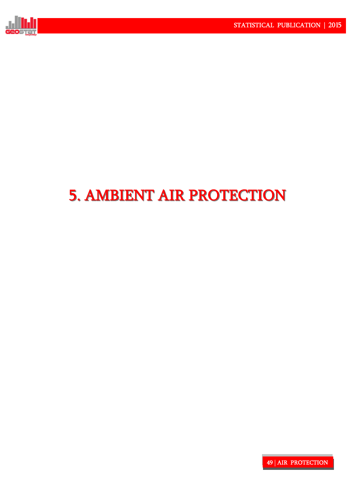

# 5. AMBIENT AIR PROTECTION 5. AMBIENT AIR PROTECTION !

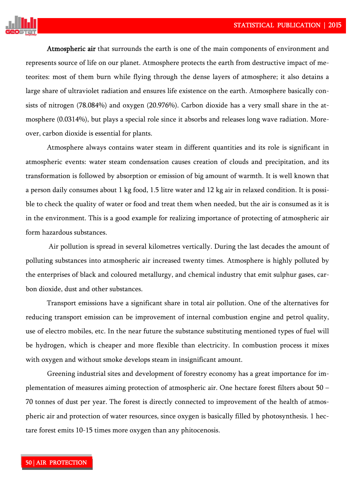

Atmospheric air that surrounds the earth is one of the main components of environment and represents source of life on our planet. Atmosphere protects the earth from destructive impact of meteorites: most of them burn while flying through the dense layers of atmosphere; it also detains a large share of ultraviolet radiation and ensures life existence on the earth. Atmosphere basically consists of nitrogen (78.084%) and oxygen (20.976%). Carbon dioxide has a very small share in the atmosphere (0.0314%), but plays a special role since it absorbs and releases long wave radiation. Moreover, carbon dioxide is essential for plants.

Atmosphere always contains water steam in different quantities and its role is significant in atmospheric events: water steam condensation causes creation of clouds and precipitation, and its transformation is followed by absorption or emission of big amount of warmth. It is well known that a person daily consumes about 1 kg food, 1.5 litre water and 12 kg air in relaxed condition. It is possible to check the quality of water or food and treat them when needed, but the air is consumed as it is in the environment. This is a good example for realizing importance of protecting of atmospheric air form hazardous substances.

 Air pollution is spread in several kilometres vertically. During the last decades the amount of polluting substances into atmospheric air increased twenty times. Atmosphere is highly polluted by the enterprises of black and coloured metallurgy, and chemical industry that emit sulphur gases, carbon dioxide, dust and other substances.

Transport emissions have a significant share in total air pollution. One of the alternatives for reducing transport emission can be improvement of internal combustion engine and petrol quality, use of electro mobiles, etc. In the near future the substance substituting mentioned types of fuel will be hydrogen, which is cheaper and more flexible than electricity. In combustion process it mixes with oxygen and without smoke develops steam in insignificant amount.

 Greening industrial sites and development of forestry economy has a great importance for implementation of measures aiming protection of atmospheric air. One hectare forest filters about 50 – 70 tonnes of dust per year. The forest is directly connected to improvement of the health of atmospheric air and protection of water resources, since oxygen is basically filled by photosynthesis. 1 hectare forest emits 10-15 times more oxygen than any phitocenosis.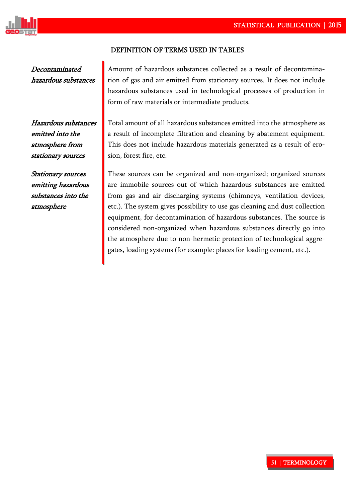

#### DEFINITION OF TERMS USED IN TABLES

Decontaminated hazardous substances Amount of hazardous substances collected as a result of decontamination of gas and air emitted from stationary sources. It does not include hazardous substances used in technological processes of production in form of raw materials or intermediate products.

Hazardous substances emitted into the atmosphere from stationary sources

Stationary sources emitting hazardous substances into the atmosphere

Total amount of all hazardous substances emitted into the atmosphere as a result of incomplete filtration and cleaning by abatement equipment. This does not include hazardous materials generated as a result of erosion, forest fire, etc.

These sources can be organized and non-organized; organized sources are immobile sources out of which hazardous substances are emitted from gas and air discharging systems (chimneys, ventilation devices, etc.). The system gives possibility to use gas cleaning and dust collection equipment, for decontamination of hazardous substances. The source is considered non-organized when hazardous substances directly go into the atmosphere due to non-hermetic protection of technological aggregates, loading systems (for example: places for loading cement, etc.).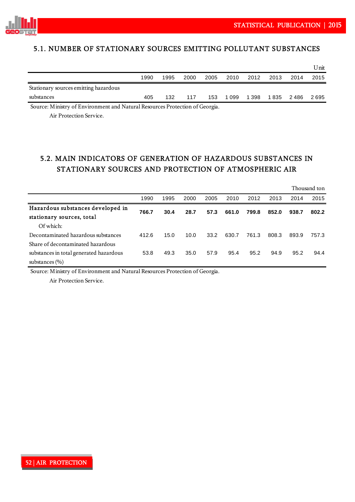



## 5.1. NUMBER OF STATIONARY SOURCES EMITTING POLLUTANT SUBSTANCES

|                                       |      |      |      |      |         |       |           |      | Unit  |
|---------------------------------------|------|------|------|------|---------|-------|-----------|------|-------|
|                                       | 1990 | 1995 | 2000 | 2005 | 2010    | 2012  | 2013      | 2014 | 2015  |
| Stationary sources emitting hazardous |      |      |      |      |         |       |           |      |       |
| substances                            | 405  | 132  | 117  | 153  | 1 0 9 9 | 1 398 | 1835 2486 |      | 2 695 |

Source: Ministry of Environment and Natural Resources Protection of Georgia.

Air Protection Service.

## 5.2. MAIN INDICATORS OF GENERATION OF HAZARDOUS SUBSTANCES IN STATIONARY SOURCES AND PROTECTION OF ATMOSPHERIC AIR

|                                         |       |      |      |      |       |       |       |       | Thousand ton |
|-----------------------------------------|-------|------|------|------|-------|-------|-------|-------|--------------|
|                                         | 1990  | 1995 | 2000 | 2005 | 2010  | 2012  | 2013  | 2014  | 2015         |
| Hazardous substances developed in       | 766.7 | 30.4 | 28.7 | 57.3 | 661.0 | 799.8 | 852.0 | 938.7 | 802.2        |
| stationary sources, total               |       |      |      |      |       |       |       |       |              |
| Of which:                               |       |      |      |      |       |       |       |       |              |
| Decontaminated hazardous substances     | 412.6 | 15.0 | 10.0 | 33.2 | 630.7 | 761.3 | 808.3 | 893.9 | 757.3        |
| Share of decontaminated hazardous       |       |      |      |      |       |       |       |       |              |
| substances in total generated hazardous | 53.8  | 49.3 | 35.0 | 57.9 | 95.4  | 95.2  | 94.9  | 95.2  | 94.4         |
| substances $(\% )$                      |       |      |      |      |       |       |       |       |              |

Source: Ministry of Environment and Natural Resources Protection of Georgia.

Air Protection Service.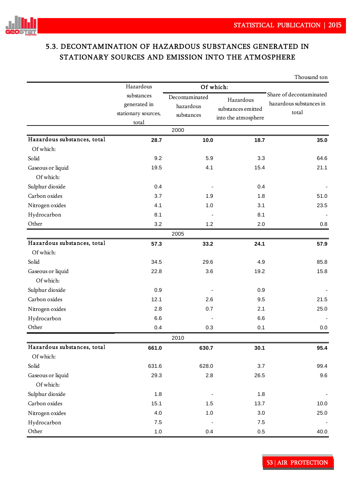

## 5.3. DECONTAMINATION OF HAZARDOUS SUBSTANCES GENERATED IN STATIONARY SOURCES AND EMISSION INTO THE ATMOSPHERE

|                             |                                                            |                                           |                                                        | Thousand ton                                                |
|-----------------------------|------------------------------------------------------------|-------------------------------------------|--------------------------------------------------------|-------------------------------------------------------------|
|                             | Hazardous                                                  |                                           | Of which:                                              |                                                             |
|                             | substances<br>generated in<br>stationary sources,<br>total | Decontaminated<br>hazardous<br>substances | Hazardous<br>substances emitted<br>into the atmosphere | Share of decontaminated<br>hazardous substances in<br>total |
|                             |                                                            | 2000                                      |                                                        |                                                             |
| Hazardous substances, total | 28.7                                                       | 10.0                                      | 18.7                                                   | 35.0                                                        |
| Of which:                   |                                                            |                                           |                                                        |                                                             |
| Solid                       | 9.2                                                        | 5.9                                       | 3.3                                                    | 64.6                                                        |
| Gaseous or liquid           | 19.5                                                       | 4.1                                       | 15.4                                                   | 21.1                                                        |
| Of which:                   |                                                            |                                           |                                                        |                                                             |
| Sulphur dioxide             | 0.4                                                        |                                           | 0.4                                                    |                                                             |
| Carbon oxides               | 3.7                                                        | 1.9                                       | 1.8                                                    | 51.0                                                        |
| Nitrogen oxides             | 4.1                                                        | 1.0                                       | 3.1                                                    | 23.5                                                        |
| Hydrocarbon                 | 8.1                                                        |                                           | 8.1                                                    |                                                             |
| Other                       | 3.2                                                        | 1.2                                       | 2.0                                                    | 0.8                                                         |
|                             |                                                            | 2005                                      |                                                        |                                                             |
| Hazardous substances, total | 57.3                                                       | 33.2                                      | 24.1                                                   | 57.9                                                        |
| Of which:                   |                                                            |                                           |                                                        |                                                             |
| Solid                       | 34.5                                                       | 29.6                                      | 4.9                                                    | 85.8                                                        |
| Gaseous or liquid           | 22.8                                                       | 3.6                                       | 19.2                                                   | 15.8                                                        |
| Of which:                   |                                                            |                                           |                                                        |                                                             |
| Sulphur dioxide             | 0.9                                                        |                                           | 0.9                                                    |                                                             |
| Carbon oxides               | 12.1                                                       | 2.6                                       | 9.5                                                    | 21.5                                                        |
| Nitrogen oxides             | 2.8                                                        | 0.7                                       | 2.1                                                    | 25.0                                                        |
| Hydrocarbon                 | 6.6                                                        |                                           | 6.6                                                    |                                                             |
| Other                       | 0.4                                                        | 0.3                                       | 0.1                                                    | 0.0                                                         |
|                             |                                                            | 2010                                      |                                                        |                                                             |
| Hazardous substances, total | 661.0                                                      | 630.7                                     | 30.1                                                   | 95.4                                                        |
| Of which:                   |                                                            |                                           |                                                        |                                                             |
| Solid                       | 631.6                                                      | 628.0                                     | 3.7                                                    | 99.4                                                        |
| Gaseous or liquid           | 29.3                                                       | $2.8\,$                                   | 26.5                                                   | 9.6                                                         |
| Of which:                   |                                                            |                                           |                                                        |                                                             |
| Sulphur dioxide             | 1.8                                                        |                                           | 1.8                                                    |                                                             |
| Carbon oxides               | 15.1                                                       | 1.5                                       | 13.7                                                   | 10.0                                                        |
| Nitrogen oxides             | 4.0                                                        | 1.0                                       | $3.0\,$                                                | 25.0                                                        |
| Hydrocarbon                 | $7.5\,$                                                    |                                           | $7.5\,$                                                |                                                             |
| Other                       | $1.0$                                                      | 0.4                                       | $0.5\,$                                                | 40.0                                                        |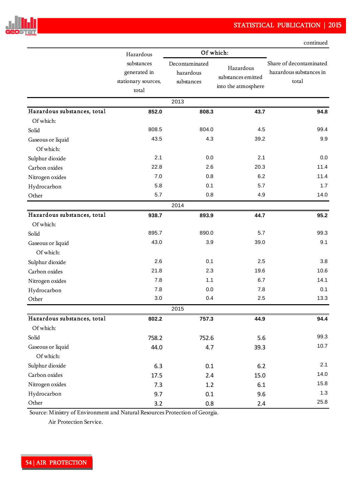

|                             |                                                            |                                           |                                                        | continued                                                   |
|-----------------------------|------------------------------------------------------------|-------------------------------------------|--------------------------------------------------------|-------------------------------------------------------------|
|                             | Hazardous                                                  |                                           | Of which:                                              |                                                             |
|                             | substances<br>generated in<br>stationary sources,<br>total | Decontaminated<br>hazardous<br>substances | Hazardous<br>substances emitted<br>into the atmosphere | Share of decontaminated<br>hazardous substances in<br>total |
|                             |                                                            | 2013                                      |                                                        |                                                             |
| Hazardous substances, total | 852.0                                                      | 808.3                                     | 43.7                                                   | 94.8                                                        |
| Of which:                   |                                                            |                                           |                                                        |                                                             |
| Solid                       | 808.5                                                      | 804.0                                     | 4.5                                                    | 99.4                                                        |
| Gaseous or liquid           | 43.5                                                       | 4.3                                       | 39.2                                                   | 9.9                                                         |
| Of which:                   |                                                            |                                           |                                                        |                                                             |
| Sulphur dioxide             | 2.1                                                        | 0.0                                       | 2.1                                                    | 0.0                                                         |
| Carbon oxides               | 22.8                                                       | 2.6                                       | 20.3                                                   | 11.4                                                        |
| Nitrogen oxides             | 7.0                                                        | 0.8                                       | 6.2                                                    | 11.4                                                        |
| Hydrocarbon                 | 5.8                                                        | 0.1                                       | 5.7                                                    | 1.7                                                         |
| Other                       | 5.7                                                        | 0.8                                       | 4.9                                                    | 14.0                                                        |
|                             |                                                            | 2014                                      |                                                        |                                                             |
| Hazardous substances, total | 938.7                                                      | 893.9                                     | 44.7                                                   | 95.2                                                        |
| Of which:                   |                                                            |                                           |                                                        |                                                             |
| Solid                       | 895.7                                                      | 890.0                                     | 5.7                                                    | 99.3                                                        |
| Gaseous or liquid           | 43.0                                                       | 3.9                                       | 39.0                                                   | 9.1                                                         |
| Of which:                   |                                                            |                                           |                                                        |                                                             |
| Sulphur dioxide             | 2.6                                                        | 0.1                                       | 2.5                                                    | 3.8                                                         |
| Carbon oxides               | 21.8                                                       | 2.3                                       | 19.6                                                   | 10.6                                                        |
| Nitrogen oxides             | 7.8                                                        | 1.1                                       | 6.7                                                    | 14.1                                                        |
| Hydrocarbon                 | 7.8                                                        | 0.0                                       | 7.8                                                    | 0.1                                                         |
| Other                       | 3.0                                                        | 0.4                                       | 2.5                                                    | 13.3                                                        |
|                             |                                                            | 2015                                      |                                                        |                                                             |
| Hazardous substances, total | 802.2                                                      | 757.3                                     | 44.9                                                   | 94.4                                                        |
| Of which:                   |                                                            |                                           |                                                        |                                                             |
| Solid                       | 758.2                                                      | 752.6                                     | 5.6                                                    | 99.3                                                        |
| Gaseous or liquid           | 44.0                                                       | 4.7                                       | 39.3                                                   | 10.7                                                        |
| Of which:                   |                                                            |                                           |                                                        |                                                             |
| Sulphur dioxide             | 6.3                                                        | 0.1                                       | 6.2                                                    | 2.1                                                         |
| Carbon oxides               | 17.5                                                       | 2.4                                       | 15.0                                                   | 14.0                                                        |
| Nitrogen oxides             | 7.3                                                        | 1.2                                       | 6.1                                                    | 15.8                                                        |
| Hydrocarbon                 | 9.7                                                        | 0.1                                       | 9.6                                                    | 1.3                                                         |
| Other                       | 3.2                                                        | 0.8                                       | 2.4                                                    | 25.8                                                        |

Source: Ministry of Environment and Natural Resources Protection of Georgia.

Air Protection Service.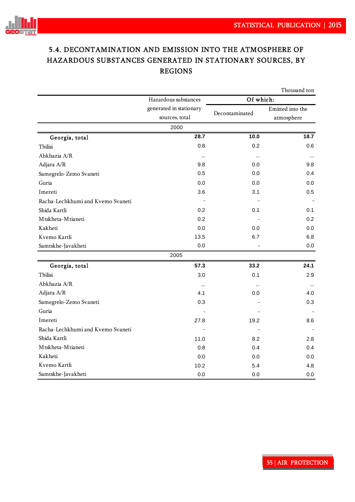

# 5.4. DECONTAMINATION AND EMISSION INTO THE ATMOSPHERE OF HAZARDOUS SUBSTANCES GENERATED IN STATIONARY SOURCES, BY REGIONS

|                                   |                         |                | Thousand ton     |  |  |
|-----------------------------------|-------------------------|----------------|------------------|--|--|
|                                   | Hazardous substances    | Of which:      |                  |  |  |
|                                   | generated in stationary |                | Emitted into the |  |  |
|                                   | sources, total          | Decontaminated | atmosphere       |  |  |
|                                   | 2000                    |                |                  |  |  |
| Georgia, total                    | 28.7                    | 10.0           | 18.7             |  |  |
| Tbilisi                           | 0.8                     | 0.2            | 0.6              |  |  |
| Abkhazia A/R                      | $\cdots$                | $\cdots$       |                  |  |  |
| Adjara A/R                        | 9.8                     | 0.0            | 9.8              |  |  |
| Samegrelo-Zemo Svaneti            | 0.5                     | 0.0            | 0.4              |  |  |
| Guria                             | 0.0                     | 0.0            | 0.0              |  |  |
| Imereti                           | 3.6                     | 3.1            | 0.5              |  |  |
| Racha-Lechkhumi and Kvemo Svaneti |                         |                |                  |  |  |
| Shida Kartli                      | 0.2                     | 0.1            | 0.1              |  |  |
| Mtskheta-Mtianeti                 | 0.2                     |                | 0.2              |  |  |
| Kakheti                           | 0.0                     | 0.0            | 0.0              |  |  |
| Kvemo Kartli                      | 13.5                    | 6.7            | 6.8              |  |  |
| Samtskhe-Javakheti                | 0.0                     |                | 0.0              |  |  |
|                                   | 2005                    |                |                  |  |  |
| Georgia, total                    | 57.3                    | 33.2           | 24.1             |  |  |
| Tbilisi                           | 3.0                     | 0.1            | 2.9              |  |  |
| Abkhazia A/R                      |                         |                | $\cdots$         |  |  |
| Adjara A/R                        | 4.1                     | 0.0            | 4.0              |  |  |
| Samegrelo-Zemo Svaneti            | 0.3                     |                | 0.3              |  |  |
| Guria                             |                         |                |                  |  |  |
| Imereti                           | 27.8                    | 19.2           | 8.6              |  |  |
| Racha-Lechkhumi and Kvemo Svaneti |                         |                |                  |  |  |
| Shida Kartli                      | 11.0                    | 8.2            | 2.8              |  |  |
| Mtskheta-Mtianeti                 | 0.8                     | 0.4            | 0.4              |  |  |
| Kakheti                           | 0.0                     | 0.0            | 0.0              |  |  |
| Kvemo Kartli                      | 10.2                    | 5.4            | 4.8              |  |  |
| Samtskhe-Javakheti                | 0.0                     | 0.0            | 0.0              |  |  |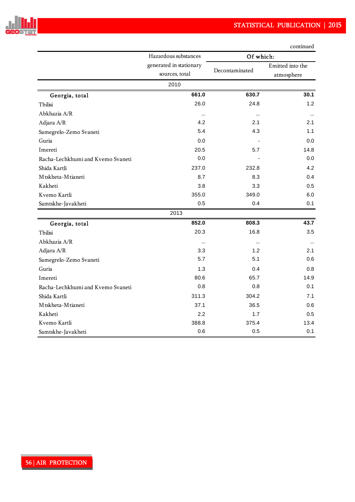

|                                   |                                           |                | continued                      |  |
|-----------------------------------|-------------------------------------------|----------------|--------------------------------|--|
|                                   | Hazardous substances                      | Of which:      |                                |  |
|                                   | generated in stationary<br>sources, total | Decontaminated | Emitted into the<br>atmosphere |  |
|                                   | 2010                                      |                |                                |  |
| Georgia, total                    | 661.0                                     | 630.7          | 30.1                           |  |
| Tbilisi                           | 26.0                                      | 24.8           | 1.2                            |  |
| Abkhazia A/R                      | $\cdots$                                  |                | $\cdots$                       |  |
| Adjara A/R                        | 4.2                                       | 2.1            | 2.1                            |  |
| Samegrelo-Zemo Svaneti            | 5.4                                       | 4.3            | 1.1                            |  |
| Guria                             | 0.0                                       |                | 0.0                            |  |
| Imereti                           | 20.5                                      | 5.7            | 14.8                           |  |
| Racha-Lechkhumi and Kvemo Svaneti | 0.0                                       |                | 0.0                            |  |
| Shida Kartli                      | 237.0                                     | 232.8          | 4.2                            |  |
| Mtskheta-Mtianeti                 | 8.7                                       | 8.3            | 0.4                            |  |
| Kakheti                           | 3.8                                       | 3.3            | 0.5                            |  |
| Kvemo Kartli                      | 355.0                                     | 349.0          | 6.0                            |  |
| Samtskhe-Javakheti                | 0.5                                       | 0.4            | 0.1                            |  |
|                                   | 2013                                      |                |                                |  |
| Georgia, total                    | 852.0                                     | 808.3          | 43.7                           |  |
| Tbilisi                           | 20.3                                      | 16.8           | 3.5                            |  |
| Abkhazia A/R                      | $\cdots$                                  |                | $\cdots$                       |  |
| Adjara A/R                        | 3.3                                       | 1.2            | 2.1                            |  |
| Samegrelo-Zemo Svaneti            | 5.7                                       | 5.1            | 0.6                            |  |
| Guria                             | 1.3                                       | 0.4            | 0.8                            |  |
| Imereti                           | 80.6                                      | 65.7           | 14.9                           |  |
| Racha-Lechkhumi and Kvemo Svaneti | 0.8                                       | 0.8            | 0.1                            |  |
| Shida Kartli                      | 311.3                                     | 304.2          | 7.1                            |  |
| Mtskheta-Mtianeti                 | 37.1                                      | 36.5           | 0.6                            |  |
| Kakheti                           | 2.2                                       | 1.7            | 0.5                            |  |
| Kvemo Kartli                      | 388.8                                     | 375.4          | 13.4                           |  |
| Samtskhe-Javakheti                | 0.6                                       | 0.5            | 0.1                            |  |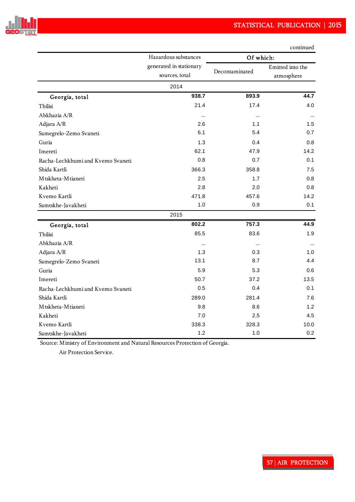

|                                   | Hazardous substances                      | Of which:      |                                |  |  |
|-----------------------------------|-------------------------------------------|----------------|--------------------------------|--|--|
|                                   | generated in stationary<br>sources, total | Decontaminated | Emitted into the<br>atmosphere |  |  |
|                                   | 2014                                      |                |                                |  |  |
| Georgia, total                    | 938.7                                     | 893.9          | 44.7                           |  |  |
| Tbilisi                           | 21.4                                      | 17.4           | 4.0                            |  |  |
| Abkhazia A/R                      |                                           |                | $\cdots$                       |  |  |
| Adjara A/R                        | 2.6                                       | 1.1            | 1.5                            |  |  |
| Samegrelo-Zemo Svaneti            | 6.1                                       | 5.4            | 0.7                            |  |  |
| Guria                             | 1.3                                       | 0.4            | 0.8                            |  |  |
| Imereti                           | 62.1                                      | 47.9           | 14.2                           |  |  |
| Racha-Lechkhumi and Kvemo Svaneti | 0.8                                       | 0.7            | 0.1                            |  |  |
| Shida Kartli                      | 366.3                                     | 358.8          | 7.5                            |  |  |
| Mtskheta-Mtianeti                 | 2.5                                       | 1.7            | 0.8                            |  |  |
| Kakheti                           | 2.8                                       | 2.0            | 0.8                            |  |  |
| Kvemo Kartli                      | 471.8                                     | 457.6          | 14.2                           |  |  |
| Samtskhe-Javakheti                | 1.0                                       | 0.9            | 0.1                            |  |  |
|                                   | 2015                                      |                |                                |  |  |
| Georgia, total                    | 802.2                                     | 757.3          | 44.9                           |  |  |
| Tbilisi                           | 85.5                                      | 83.6           | 1.9                            |  |  |
| Abkhazia A/R                      |                                           |                | $\cdots$                       |  |  |
| Adjara A/R                        | 1.3                                       | 0.3            | 1.0                            |  |  |
| Samegrelo-Zemo Svaneti            | 13.1                                      | 8.7            | 4.4                            |  |  |
| Guria                             | 5.9                                       | 5.3            | 0.6                            |  |  |
| Imereti                           | 50.7                                      | 37.2           | 13.5                           |  |  |
| Racha-Lechkhumi and Kvemo Svaneti | 0.5                                       | 0.4            | 0.1                            |  |  |
| Shida Kartli                      | 289.0                                     | 281.4          | 7.6                            |  |  |
| Mtskheta-Mtianeti                 | 9.8                                       | 8.6            | 1.2                            |  |  |
| Kakheti                           | 7.0                                       | 2.5            | 4.5                            |  |  |
| Kvemo Kartli                      | 338.3                                     | 328.3          | 10.0                           |  |  |
| Samtskhe-Javakheti                | 1.2                                       | 1.0            | 0.2                            |  |  |

continued

Source: Ministry of Environment and Natural Resources Protection of Georgia.

Air Protection Service.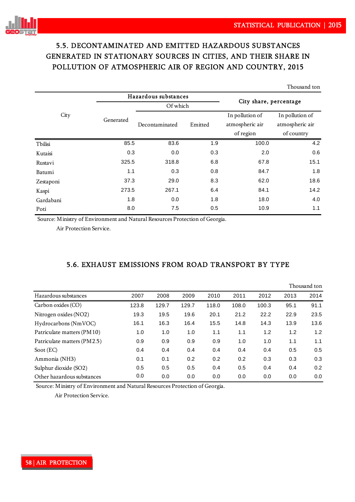Thousand ton



# 5.5. DECONTAMINATED AND EMITTED HAZARDOUS SUBSTANCES GENERATED IN STATIONARY SOURCES IN CITIES, AND THEIR SHARE IN POLLUTION OF ATMOSPHERIC AIR OF REGION AND COUNTRY, 2015

|           |           |                      |         |                        | 1 110 usanu wii |  |  |
|-----------|-----------|----------------------|---------|------------------------|-----------------|--|--|
|           |           | Hazardous substances |         |                        |                 |  |  |
|           |           | Of which             |         | City share, percentage |                 |  |  |
| City      | Generated |                      |         | In pollution of        | In pollution of |  |  |
|           |           | Decontaminated       | Emitted | atmospheric air        | atmospheric air |  |  |
|           |           |                      |         | of region              | of country      |  |  |
| Tbilisi   | 85.5      | 83.6                 | 1.9     | 100.0                  | 4.2             |  |  |
| Kutaisi   | 0.3       | 0.0                  | 0.3     | 2.0                    | 0.6             |  |  |
| Rustavi   | 325.5     | 318.8                | 6.8     | 67.8                   | 15.1            |  |  |
| Batumi    | 1.1       | 0.3                  | 0.8     | 84.7                   | 1.8             |  |  |
| Zestaponi | 37.3      | 29.0                 | 8.3     | 62.0                   | 18.6            |  |  |
| Kaspi     | 273.5     | 267.1                | 6.4     | 84.1                   | 14.2            |  |  |
| Gardabani | 1.8       | 0.0                  | 1.8     | 18.0                   | 4.0             |  |  |
| Poti      | 8.0       | 7.5                  | 0.5     | 10.9                   | 1.1             |  |  |
|           |           |                      |         |                        |                 |  |  |

Source: Ministry of Environment and Natural Resources Protection of Georgia.

Air Protection Service.

## 5.6. EXHAUST EMISSIONS FROM ROAD TRANSPORT BY TYPE

|                             |       |       |       |       |       |       |      | Thousand ton |
|-----------------------------|-------|-------|-------|-------|-------|-------|------|--------------|
| Hazardous substances        | 2007  | 2008  | 2009  | 2010  | 2011  | 2012  | 2013 | 2014         |
| Carbon oxides (CO)          | 123.8 | 129.7 | 129.7 | 118.0 | 108.0 | 100.3 | 95.1 | 91.1         |
| Nitrogen oxides (NO2)       | 19.3  | 19.5  | 19.6  | 20.1  | 21.2  | 22.2  | 22.9 | 23.5         |
| Hydrocarbons (NmVOC)        | 16.1  | 16.3  | 16.4  | 15.5  | 14.8  | 14.3  | 13.9 | 13.6         |
| Patriculate matters (PM10)  | 1.0   | 1.0   | 1.0   | 1.1   | 1.1   | 1.2   | 1.2  | 1.2          |
| Patriculate matters (PM2.5) | 0.9   | 0.9   | 0.9   | 0.9   | 1.0   | 1.0   | 1.1  | 1.1          |
| Soot $(EC)$                 | 0.4   | 0.4   | 0.4   | 0.4   | 0.4   | 0.4   | 0.5  | 0.5          |
| Ammonia (NH3)               | 0.1   | 0.1   | 0.2   | 0.2   | 0.2   | 0.3   | 0.3  | 0.3          |
| Sulphur dioxide (SO2)       | 0.5   | 0.5   | 0.5   | 0.4   | 0.5   | 0.4   | 0.4  | 0.2          |
| Other hazardous substances  | 0.0   | 0.0   | 0.0   | 0.0   | 0.0   | 0.0   | 0.0  | 0.0          |

Source: Ministry of Environment and Natural Resources Protection of Georgia.

Air Protection Service.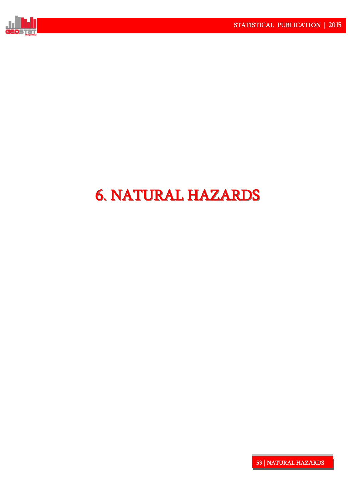

# 6. NATURAL HAZARDS 6. NATURAL HAZARDS

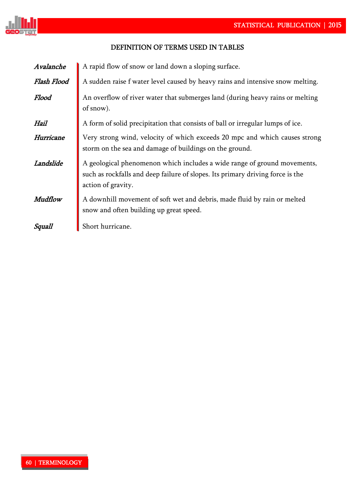

## DEFINITION OF TERMS USED IN TABLES!

| Avalanche   | A rapid flow of snow or land down a sloping surface.                                                                                                                             |  |  |  |  |  |  |  |  |
|-------------|----------------------------------------------------------------------------------------------------------------------------------------------------------------------------------|--|--|--|--|--|--|--|--|
| Flash Flood | A sudden raise f water level caused by heavy rains and intensive snow melting.                                                                                                   |  |  |  |  |  |  |  |  |
| Flood       | An overflow of river water that submerges land (during heavy rains or melting<br>of snow).                                                                                       |  |  |  |  |  |  |  |  |
| Hail        | A form of solid precipitation that consists of ball or irregular lumps of ice.                                                                                                   |  |  |  |  |  |  |  |  |
| Hurricane   | Very strong wind, velocity of which exceeds 20 mpc and which causes strong<br>storm on the sea and damage of buildings on the ground.                                            |  |  |  |  |  |  |  |  |
| Landslide   | A geological phenomenon which includes a wide range of ground movements,<br>such as rockfalls and deep failure of slopes. Its primary driving force is the<br>action of gravity. |  |  |  |  |  |  |  |  |
| Mudflow     | A downhill movement of soft wet and debris, made fluid by rain or melted<br>snow and often building up great speed.                                                              |  |  |  |  |  |  |  |  |
| Squall      | Short hurricane.                                                                                                                                                                 |  |  |  |  |  |  |  |  |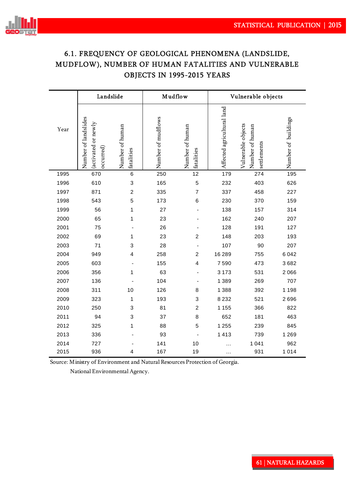

## 6.1. FREQUENCY OF GEOLOGICAL PHENOMENA (LANDSLIDE, MUDFLOW), NUMBER OF HUMAN FATALITIES AND VULNERABLE OBJECTS IN 1995-2015 YEARS

| Year | Landslide                                                |                               | Mudflow            |                               | Vulnerable objects         |                                                      |                     |  |
|------|----------------------------------------------------------|-------------------------------|--------------------|-------------------------------|----------------------------|------------------------------------------------------|---------------------|--|
|      | Number of landslides<br>(activated or newly<br>occurred) | Number of human<br>fatalities | Number of mudflows | Number of human<br>fatalities | Affected agricultural land | Vulnerable objects<br>Number of human<br>settlements | Number of buildings |  |
| 1995 | 670                                                      | $\,6$                         | 250                | 12                            | 179                        | 274                                                  | 195                 |  |
| 1996 | 610                                                      | 3                             | 165                | 5                             | 232                        | 403                                                  | 626                 |  |
| 1997 | 871                                                      | $\boldsymbol{2}$              | 335                | $\overline{7}$                | 337                        | 458                                                  | 227                 |  |
| 1998 | 543                                                      | 5                             | 173                | 6                             | 230                        | 370                                                  | 159                 |  |
| 1999 | 56                                                       | 1                             | 27                 |                               | 138                        | 157                                                  | 314                 |  |
| 2000 | 65                                                       | 1                             | 23                 |                               | 162                        | 240                                                  | 207                 |  |
| 2001 | 75                                                       |                               | 26                 | ÷                             | 128                        | 191                                                  | 127                 |  |
| 2002 | 69                                                       | 1                             | 23                 | $\overline{c}$                | 148                        | 203                                                  | 193                 |  |
| 2003 | 71                                                       | 3                             | 28                 | ٠                             | 107                        | 90                                                   | 207                 |  |
| 2004 | 949                                                      | 4                             | 258                | $\overline{c}$                | 16 289                     | 755                                                  | 6042                |  |
| 2005 | 603                                                      |                               | 155                | 4                             | 7590                       | 473                                                  | 3682                |  |
| 2006 | 356                                                      | 1                             | 63                 |                               | 3 1 7 3                    | 531                                                  | 2066                |  |
| 2007 | 136                                                      |                               | 104                |                               | 1 3 8 9                    | 269                                                  | 707                 |  |
| 2008 | 311                                                      | 10                            | 126                | 8                             | 1 3 8 8                    | 392                                                  | 1 1 9 8             |  |
| 2009 | 323                                                      | 1                             | 193                | 3                             | 8 2 3 2                    | 521                                                  | 2696                |  |
| 2010 | 250                                                      | $\ensuremath{\mathsf{3}}$     | 81                 | $\overline{2}$                | 1 1 5 5                    | 366                                                  | 822                 |  |
| 2011 | 94                                                       | 3                             | 37                 | 8                             | 652                        | 181                                                  | 463                 |  |
| 2012 | 325                                                      | 1                             | 88                 | 5                             | 1 2 5 5                    | 239                                                  | 845                 |  |
| 2013 | 336                                                      |                               | 93                 |                               | 1413                       | 739                                                  | 1 2 6 9             |  |
| 2014 | 727                                                      |                               | 141                | 10                            | .                          | 1 0 4 1                                              | 962                 |  |
| 2015 | 936                                                      | 4                             | 167                | 19                            | .                          | 931                                                  | 1014                |  |

Source: Ministry of Environment and Natural Resources Protection of Georgia.

National Environmental Agency.